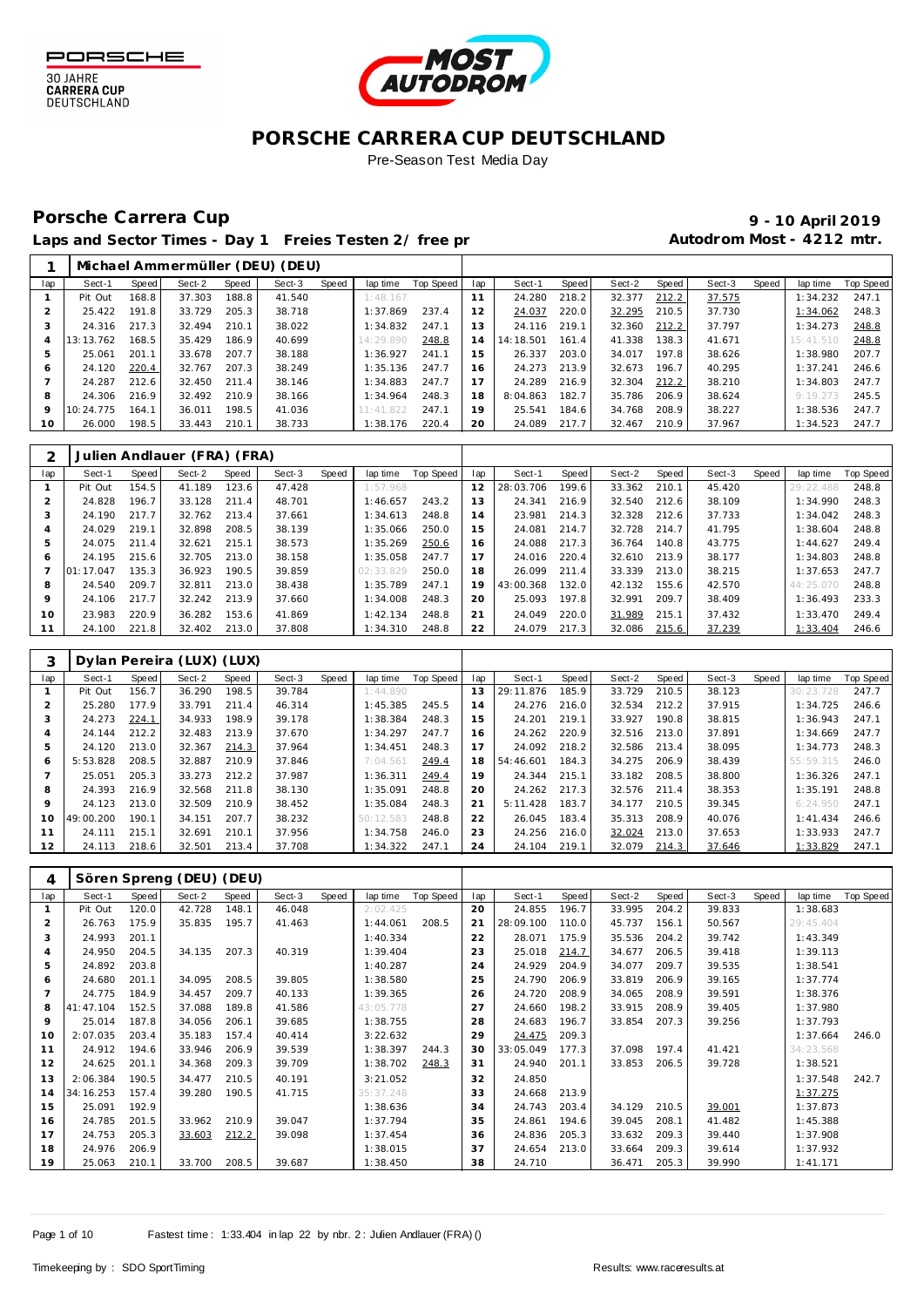



## **PORSCHE CARRERA CUP DEUTSCHLAND**

Pre-Season Test Media Day

# Porsche Carrera Cup **10 April 2019 9 - 10 April 2019**

Laps and Sector Times - Day 1 Freies Testen 2/ free practice 20 autodrom Most - 4212 mtr.

|              |           |       |        |       | Michael Ammermüller (DEU) (DEU) |       |           |           |     |           |       |        |       |        |       |           |           |
|--------------|-----------|-------|--------|-------|---------------------------------|-------|-----------|-----------|-----|-----------|-------|--------|-------|--------|-------|-----------|-----------|
| lap          | Sect-1    | Speed | Sect-2 | Speed | Sect-3                          | Speed | lap time  | Top Speed | lap | Sect-1    | Speed | Sect-2 | Speed | Sect-3 | Speed | lap time  | Top Speed |
|              | Pit Out   | 168.8 | 37.303 | 188.8 | 41.540                          |       | 1:48.167  |           | 11  | 24.280    | 218.2 | 32.377 | 212.2 | 37.575 |       | 1:34.232  | 247.1     |
|              | 25.422    | 191.8 | 33.729 | 205.3 | 38.718                          |       | 1:37.869  | 237.4     | 12  | 24.037    | 220.0 | 32.295 | 210.5 | 37.730 |       | 1:34.062  | 248.3     |
| 3            | 24.316    | 217.3 | 32.494 | 210.1 | 38.022                          |       | 1:34.832  | 247.1     | 13  | 24.116    | 219.1 | 32.360 | 212.2 | 37.797 |       | 1:34.273  | 248.8     |
|              | 13:13.762 | 168.5 | 35.429 | 186.9 | 40.699                          |       | 14:29.890 | 248.8     | 14  | 14:18.501 | 161.4 | 41.338 | 138.3 | 41.671 |       | 15:41.510 | 248.8     |
| 5            | 25.061    | 201.1 | 33.678 | 207.7 | 38.188                          |       | 1:36.927  | 241.1     | 15  | 26.337    | 203.0 | 34.017 | 197.8 | 38.626 |       | 1:38.980  | 207.7     |
| <sub>6</sub> | 24.120    | 220.4 | 32.767 | 207.3 | 38.249                          |       | 1:35.136  | 247.7     | 6   | 24.273    | 213.9 | 32.673 | 196.7 | 40.295 |       | 1:37.241  | 246.6     |
|              | 24.287    | 212.6 | 32.450 | 211.4 | 38.146                          |       | 1:34.883  | 247.7     | 17  | 24.289    | 216.9 | 32.304 | 212.2 | 38.210 |       | 1:34.803  | 247.7     |
| 8            | 24.306    | 216.9 | 32.492 | 210.9 | 38.166                          |       | 1:34.964  | 248.3     | 18  | 8:04.863  | 182.7 | 35.786 | 206.9 | 38.624 |       | 9:19.273  | 245.5     |
| 9            | 10:24.775 | 164.1 | 36.011 | 198.5 | 41.036                          |       | 11:41.822 | 247.1     | 19  | 25.541    | 184.6 | 34.768 | 208.9 | 38.227 |       | 1:38.536  | 247.7     |
| 10           | 26.000    | 198.5 | 33.443 | 210.1 | 38.733                          |       | 1:38.176  | 220.4     | 20  | 24.089    | 217.7 | 32.467 | 210.9 | 37.967 |       | 1:34.523  | 247.7     |

|     |           |              | Julien Andlauer (FRA) (FRA) |       |        |       |           |           |     |           |       |        |       |        |       |           |           |
|-----|-----------|--------------|-----------------------------|-------|--------|-------|-----------|-----------|-----|-----------|-------|--------|-------|--------|-------|-----------|-----------|
| lap | Sect-1    | <b>Speed</b> | Sect-2                      | Speed | Sect-3 | Speed | lap time  | Top Speed | lap | Sect-1    | Speed | Sect-2 | Speed | Sect-3 | Speed | lap time  | Top Speed |
|     | Pit Out   | 154.5        | 41.189                      | 123.6 | 47.428 |       | 1:57.968  |           | 12  | 28:03.706 | 199.6 | 33.362 | 210.1 | 45.420 |       | 29:22.488 | 248.8     |
|     | 24.828    | 196.7        | 33.128                      | 211.4 | 48.701 |       | 1:46.657  | 243.2     | 13  | 24.341    | 216.9 | 32.540 | 212.6 | 38.109 |       | 1:34.990  | 248.3     |
| 3   | 24.190    | 217.7        | 32.762                      | 213.4 | 37.661 |       | 1:34.613  | 248.8     | 14  | 23.981    | 214.3 | 32.328 | 212.6 | 37.733 |       | 1:34.042  | 248.3     |
| 4   | 24.029    | 219.1        | 32.898                      | 208.5 | 38.139 |       | 1:35.066  | 250.0     | 15  | 24.081    | 214.7 | 32.728 | 214.7 | 41.795 |       | 1:38.604  | 248.8     |
| 5   | 24.075    | 211.4        | 32.621                      | 215.1 | 38.573 |       | 1:35.269  | 250.6     | 16  | 24.088    | 217.3 | 36.764 | 140.8 | 43.775 |       | 1:44.627  | 249.4     |
| 6   | 24.195    | 215.6        | 32.705                      | 213.0 | 38.158 |       | 1:35.058  | 247.7     | 17  | 24.016    | 220.4 | 32.610 | 213.9 | 38.177 |       | 1:34.803  | 248.8     |
|     | 01:17.047 | 135.3        | 36.923                      | 190.5 | 39.859 |       | 02:33.829 | 250.0     | 18  | 26.099    | 211.4 | 33.339 | 213.0 | 38.215 |       | 1:37.653  | 247.7     |
| 8   | 24.540    | 209.7        | 32.811                      | 213.0 | 38.438 |       | 1:35.789  | 247.1     | 19  | 43:00.368 | 132.0 | 42.132 | 155.6 | 42.570 |       | 44:25.070 | 248.8     |
| 9   | 24.106    | 217.7        | 32.242                      | 213.9 | 37.660 |       | 1:34.008  | 248.3     | 20  | 25.093    | 197.8 | 32.991 | 209.7 | 38.409 |       | 1:36.493  | 233.3     |
| 10  | 23.983    | 220.9        | 36.282                      | 153.6 | 41.869 |       | 1:42.134  | 248.8     | 21  | 24.049    | 220.0 | 31.989 | 215.1 | 37.432 |       | 1:33.470  | 249.4     |
| 11  | 24.100    | 221.8        | 32.402                      | 213.0 | 37.808 |       | 1:34.310  | 248.8     | 22  | 24.079    | 217.3 | 32.086 | 215.6 | 37.239 |       | 1:33.404  | 246.6     |

|     |           |       | Dylan Pereira (LUX) (LUX) |       |        |       |           |           |     |           |       |        |       |        |       |           |                  |
|-----|-----------|-------|---------------------------|-------|--------|-------|-----------|-----------|-----|-----------|-------|--------|-------|--------|-------|-----------|------------------|
| lap | Sect-1    | Speed | Sect-2                    | Speed | Sect-3 | Speed | lap time  | Top Speed | lap | Sect-1    | Speed | Sect-2 | Speed | Sect-3 | Speed | lap time  | <b>Top Speed</b> |
|     | Pit Out   | 156.7 | 36.290                    | 198.5 | 39.784 |       | 1:44.890  |           | 13  | 29:11.876 | 185.9 | 33.729 | 210.5 | 38.123 |       | 30:23.    | 247.7            |
|     | 25.280    | 177.9 | 33.791                    | 211.4 | 46.314 |       | 1:45.385  | 245.5     | 14  | 24.276    | 216.0 | 32.534 | 212.2 | 37.915 |       | 1:34.725  | 246.6            |
|     | 24.273    | 224.1 | 34.933                    | 198.9 | 39.178 |       | 1:38.384  | 248.3     | 15  | 24.201    | 219.1 | 33.927 | 190.8 | 38.815 |       | 1:36.943  | 247.1            |
| 4   | 24.144    | 212.2 | 32.483                    | 213.9 | 37.670 |       | 1:34.297  | 247.7     | 16  | 24.262    | 220.9 | 32.516 | 213.0 | 37.891 |       | 1:34.669  | 247.7            |
| 5   | 24.120    | 213.0 | 32.367                    | 214.3 | 37.964 |       | 1:34.451  | 248.3     | 17  | 24.092    | 218.2 | 32.586 | 213.4 | 38.095 |       | 1:34.773  | 248.3            |
| 6   | 5:53.828  | 208.5 | 32.887                    | 210.9 | 37.846 |       | 7:04.561  | 249.4     | 18  | 54:46.601 | 184.3 | 34.275 | 206.9 | 38.439 |       | 55:59.315 | 246.0            |
|     | 25.051    | 205.3 | 33.273                    | 212.2 | 37.987 |       | 1:36.311  | 249.4     | 19  | 24.344    | 215.1 | 33.182 | 208.5 | 38,800 |       | 1:36.326  | 247.1            |
| 8   | 24.393    | 216.9 | 32.568                    | 211.8 | 38.130 |       | 1:35.091  | 248.8     | 20  | 24.262    | 217.3 | 32.576 | 211.4 | 38.353 |       | 1:35.191  | 248.8            |
| 9   | 24.123    | 213.0 | 32.509                    | 210.9 | 38.452 |       | 1:35.084  | 248.3     | 21  | 5:11.428  | 183.7 | 34.177 | 210.5 | 39.345 |       | 6:24.950  | 247.1            |
| 10  | 49:00.200 | 190.1 | 34.151                    | 207.7 | 38.232 |       | 50:12.583 | 248.8     | 22  | 26.045    | 183.4 | 35.313 | 208.9 | 40.076 |       | 1: 41.434 | 246.6            |
| 11  | 24.111    | 215.1 | 32.691                    | 210.1 | 37.956 |       | 1:34.758  | 246.0     | 23  | 24.256    | 216.0 | 32.024 | 213.0 | 37.653 |       | 1:33.933  | 247.7            |
| 12  | 24.113    | 218.6 | 32.501                    | 213.4 | 37.708 |       | 1:34.322  | 247.1     | 24  | 24.104    | 219.1 | 32.079 | 214.3 | 37.646 |       | 1:33.829  | 247.1            |

| 4              |           |       | Sören Spreng (DEU) (DEU) |       |        |       |            |           |     |           |       |        |       |        |       |           |           |
|----------------|-----------|-------|--------------------------|-------|--------|-------|------------|-----------|-----|-----------|-------|--------|-------|--------|-------|-----------|-----------|
| lap            | Sect-1    | Speed | Sect-2                   | Speed | Sect-3 | Speed | lap time   | Top Speed | lap | Sect-1    | Speed | Sect-2 | Speed | Sect-3 | Speed | lap time  | Top Speed |
|                | Pit Out   | 120.0 | 42.728                   | 148.1 | 46.048 |       | 2:02.425   |           | 20  | 24.855    | 196.7 | 33.995 | 204.2 | 39.833 |       | 1:38.683  |           |
| $\overline{2}$ | 26.763    | 175.9 | 35.835                   | 195.7 | 41.463 |       | 1:44.061   | 208.5     | 21  | 28:09.100 | 110.0 | 45.737 | 156.1 | 50.567 |       | 29:45.404 |           |
| 3              | 24.993    | 201.1 |                          |       |        |       | 1:40.334   |           | 22  | 28.071    | 175.9 | 35.536 | 204.2 | 39.742 |       | 1:43.349  |           |
| 4              | 24.950    | 204.5 | 34.135                   | 207.3 | 40.319 |       | 1:39.404   |           | 23  | 25.018    | 214.7 | 34.677 | 206.5 | 39.418 |       | 1:39.113  |           |
| 5              | 24.892    | 203.8 |                          |       |        |       | 1:40.287   |           | 24  | 24.929    | 204.9 | 34.077 | 209.7 | 39.535 |       | 1:38.541  |           |
| 6              | 24.680    | 201.1 | 34.095                   | 208.5 | 39.805 |       | 1:38.580   |           | 25  | 24.790    | 206.9 | 33.819 | 206.9 | 39.165 |       | 1:37.774  |           |
|                | 24.775    | 184.9 | 34.457                   | 209.7 | 40.133 |       | 1:39.365   |           | 26  | 24.720    | 208.9 | 34.065 | 208.9 | 39.591 |       | 1:38.376  |           |
| 8              | 41:47.104 | 152.5 | 37.088                   | 189.8 | 41.586 |       | 43:05.778  |           | 27  | 24.660    | 198.2 | 33.915 | 208.9 | 39.405 |       | 1:37.980  |           |
| 9              | 25.014    | 187.8 | 34.056                   | 206.1 | 39.685 |       | 1:38.755   |           | 28  | 24.683    | 196.7 | 33.854 | 207.3 | 39.256 |       | 1:37.793  |           |
| 10             | 2:07.035  | 203.4 | 35.183                   | 157.4 | 40.414 |       | 3:22.632   |           | 29  | 24.475    | 209.3 |        |       |        |       | 1:37.664  | 246.0     |
| 11             | 24.912    | 194.6 | 33.946                   | 206.9 | 39.539 |       | 1:38.397   | 244.3     | 30  | 33:05.049 | 177.3 | 37.098 | 197.4 | 41.421 |       | 34:23.568 |           |
| 12             | 24.625    | 201.1 | 34.368                   | 209.3 | 39.709 |       | 1:38.702   | 248.3     | 31  | 24.940    | 201.1 | 33.853 | 206.5 | 39.728 |       | 1:38.521  |           |
| 13             | 2:06.384  | 190.5 | 34.477                   | 210.5 | 40.191 |       | 3:21.052   |           | 32  | 24.850    |       |        |       |        |       | 1:37.548  | 242.7     |
| 14             | 34:16.253 | 157.4 | 39.280                   | 190.5 | 41.715 |       | 35: 37.248 |           | 33  | 24.668    | 213.9 |        |       |        |       | 1:37.275  |           |
| 15             | 25.091    | 192.9 |                          |       |        |       | 1:38.636   |           | 34  | 24.743    | 203.4 | 34.129 | 210.5 | 39.001 |       | 1:37.873  |           |
| 16             | 24.785    | 201.5 | 33.962                   | 210.9 | 39.047 |       | 1:37.794   |           | 35  | 24.861    | 194.6 | 39.045 | 208.1 | 41.482 |       | 1:45.388  |           |
| 17             | 24.753    | 205.3 | 33.603                   | 212.2 | 39.098 |       | 1:37.454   |           | 36  | 24.836    | 205.3 | 33.632 | 209.3 | 39.440 |       | 1:37.908  |           |
| 18             | 24.976    | 206.9 |                          |       |        |       | 1:38.015   |           | 37  | 24.654    | 213.0 | 33.664 | 209.3 | 39.614 |       | 1:37.932  |           |
| 19             | 25.063    | 210.1 | 33.700                   | 208.5 | 39.687 |       | 1:38.450   |           | 38  | 24.710    |       | 36.471 | 205.3 | 39.990 |       | 1:41.171  |           |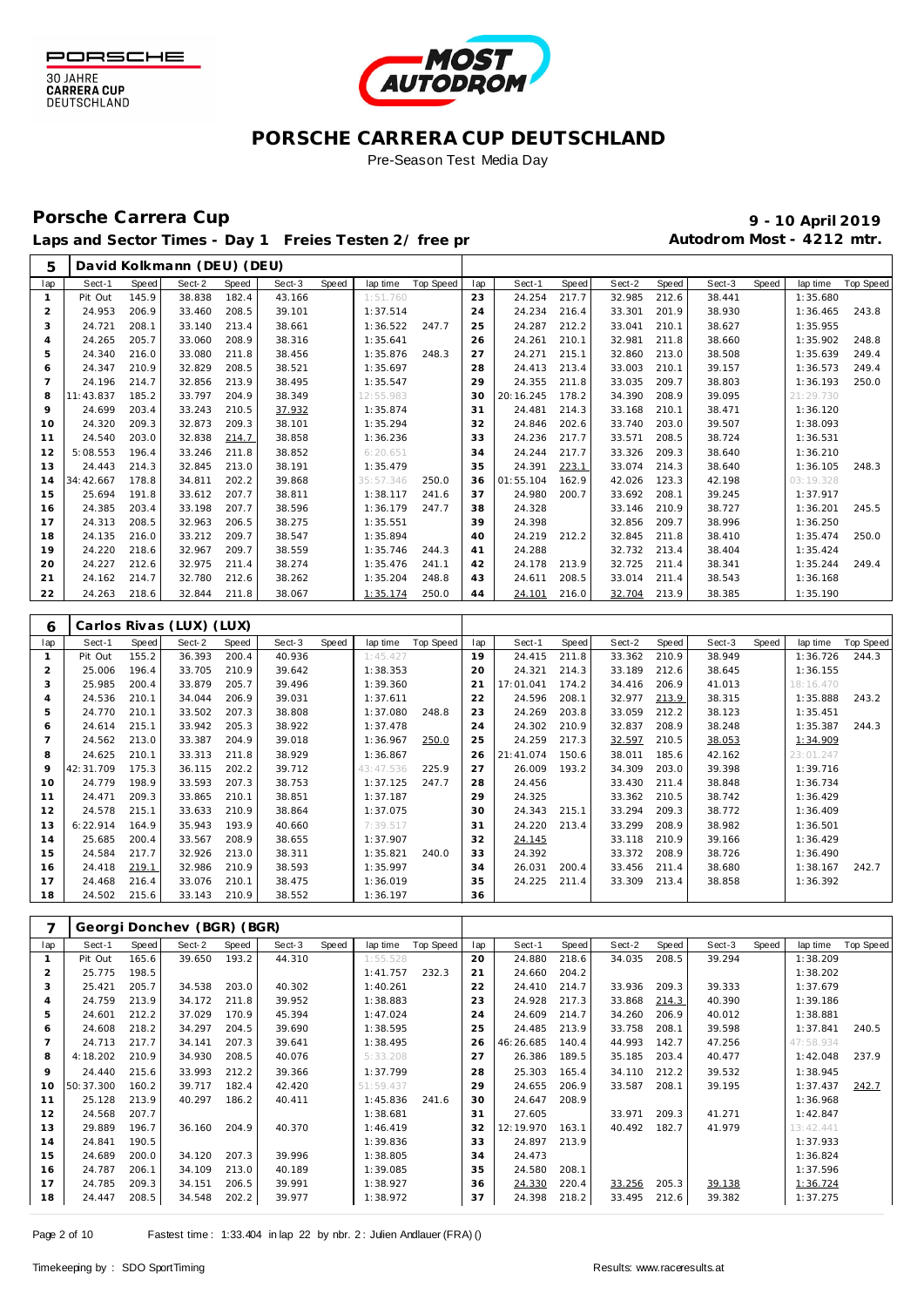



### **PORSCHE CARRERA CUP DEUTSCHLAND** Pre-Season Test Media Day

# Porsche Carrera Cup **10 April 2019 9 - 10 April 2019**

 **David Kolkmann (DEU) (DEU)**

### Laps and Sector Times - Day 1 Freies Testen 2/ free practice 20 and 20 Autodrom Most - 4212 mtr.

| lap            | Sect-1           | <b>Speed</b>   | Sect-2                     | Speed          | Sect-3           | Speed | lap time             | Top Speed        | lap      | Sect-1                 | Speed | Sect-2                       | Speed | Sect-3           | <b>Speed</b> | lap time             | Top Speed        |
|----------------|------------------|----------------|----------------------------|----------------|------------------|-------|----------------------|------------------|----------|------------------------|-------|------------------------------|-------|------------------|--------------|----------------------|------------------|
| $\mathbf{1}$   | Pit Out          | 145.9          | 38.838                     | 182.4          | 43.166           |       | 1:51.760             |                  | 23       | 24.254                 | 217.7 | 32.985                       | 212.6 | 38.441           |              | 1:35.680             |                  |
| $\overline{c}$ | 24.953           | 206.9          | 33.460                     | 208.5          | 39.101           |       | 1:37.514             |                  | 24       | 24.234                 | 216.4 | 33.301                       | 201.9 | 38.930           |              | 1:36.465             | 243.8            |
| 3              | 24.721           | 208.1          | 33.140                     | 213.4          | 38.661           |       | 1:36.522             | 247.7            | 25       | 24.287                 | 212.2 | 33.041                       | 210.1 | 38.627           |              | 1:35.955             |                  |
| $\overline{4}$ | 24.265           | 205.7          | 33.060                     | 208.9          | 38.316           |       | 1:35.641             |                  | 26       | 24.261                 | 210.1 | 32.981                       | 211.8 | 38.660           |              | 1:35.902             | 248.8            |
| 5              | 24.340           | 216.0          | 33.080                     | 211.8          | 38.456           |       | 1:35.876             | 248.3            | 27       | 24.271                 | 215.1 | 32.860                       | 213.0 | 38.508           |              | 1:35.639             | 249.4            |
| 6              | 24.347           | 210.9          | 32.829                     | 208.5          | 38.521           |       | 1:35.697             |                  | 28       | 24.413                 | 213.4 | 33.003                       | 210.1 | 39.157           |              | 1:36.573             | 249.4            |
| $\overline{7}$ | 24.196           | 214.7          | 32.856                     | 213.9          | 38.495           |       | 1:35.547             |                  | 29       | 24.355                 | 211.8 | 33.035                       | 209.7 | 38.803           |              | 1:36.193             | 250.0            |
| 8              | 11:43.837        | 185.2          | 33.797                     | 204.9          | 38.349           |       | 12:55.983            |                  | 30       | 20:16.245              | 178.2 | 34.390                       | 208.9 | 39.095           |              | 21:29.730            |                  |
| 9              | 24.699           | 203.4          | 33.243                     | 210.5          | 37.932           |       | 1:35.874             |                  | 31       | 24.481                 | 214.3 | 33.168                       | 210.1 | 38.471           |              | 1:36.120             |                  |
| 10             | 24.320           | 209.3          | 32.873                     | 209.3          | 38.101           |       | 1:35.294             |                  | 32       | 24.846                 | 202.6 | 33.740                       | 203.0 | 39.507           |              | 1:38.093             |                  |
| 11             | 24.540           | 203.0          | 32.838                     | 214.7          | 38.858           |       | 1:36.236             |                  | 33       | 24.236                 | 217.7 | 33.571                       | 208.5 | 38.724           |              | 1:36.531             |                  |
| 12             | 5:08.553         | 196.4          | 33.246                     | 211.8          | 38.852           |       | 6:20.651             |                  | 34       | 24.244                 | 217.7 | 33.326                       | 209.3 | 38.640           |              | 1:36.210             |                  |
| 13             | 24.443           | 214.3          | 32.845                     | 213.0          | 38.191           |       | 1:35.479             |                  | 35       | 24.391                 | 223.1 | 33.074                       | 214.3 | 38.640           |              | 1:36.105             | 248.3            |
| 14             | 34:42.667        | 178.8          | 34.811                     | 202.2          | 39.868           |       | 35:57.346            | 250.0            | 36       | 01:55.104              | 162.9 | 42.026                       | 123.3 | 42.198           |              | 03:19.328            |                  |
| 15             | 25.694           | 191.8          | 33.612                     | 207.7          | 38.811           |       | 1:38.117             | 241.6            | 37       | 24.980                 | 200.7 | 33.692                       | 208.1 | 39.245           |              | 1:37.917             |                  |
| 16             | 24.385           | 203.4          | 33.198                     | 207.7          | 38.596           |       | 1:36.179             | 247.7            | 38       | 24.328                 |       | 33.146                       | 210.9 | 38.727           |              | 1:36.201             | 245.5            |
| 17             | 24.313           | 208.5          | 32.963                     | 206.5          | 38.275           |       | 1:35.551             |                  | 39       | 24.398                 |       | 32.856                       | 209.7 | 38.996           |              | 1:36.250             |                  |
| 18             | 24.135           | 216.0          | 33.212                     | 209.7          | 38.547           |       | 1:35.894             |                  | 40       | 24.219                 | 212.2 | 32.845                       | 211.8 | 38.410           |              | 1:35.474             | 250.0            |
| 19             | 24.220           | 218.6          | 32.967                     | 209.7          | 38.559           |       | 1:35.746             | 244.3            | 41       | 24.288                 |       | 32.732                       | 213.4 | 38.404           |              | 1:35.424             |                  |
| 20             | 24.227           | 212.6          | 32.975                     | 211.4          | 38.274           |       | 1:35.476             | 241.1            | 42       | 24.178                 | 213.9 | 32.725                       | 211.4 | 38.341           |              | 1:35.244             | 249.4            |
| 21             | 24.162           | 214.7          | 32.780                     | 212.6          | 38.262           |       | 1:35.204             | 248.8            | 43       | 24.611                 | 208.5 | 33.014                       | 211.4 | 38.543           |              | 1:36.168             |                  |
| 22             | 24.263           | 218.6          | 32.844                     | 211.8          | 38.067           |       | 1:35.174             | 250.0            | 44       | 24.101                 | 216.0 | 32.704                       | 213.9 | 38.385           |              | 1:35.190             |                  |
|                |                  |                |                            |                |                  |       |                      |                  |          |                        |       |                              |       |                  |              |                      |                  |
|                |                  |                |                            |                |                  |       |                      |                  |          |                        |       |                              |       |                  |              |                      |                  |
| 6              |                  |                | Carlos Rivas (LUX) (LUX)   |                |                  |       |                      |                  |          |                        |       |                              |       |                  |              |                      |                  |
| lap            | Sect-1           | Speed          | Sect-2                     | Speed          | Sect-3           | Speed | lap time             | <b>Top Speed</b> | lap      | Sect-1                 | Speed | Sect-2                       | Speed | Sect-3           | Speed        | lap time             | <b>Top Speed</b> |
| $\mathbf{1}$   | Pit Out          | 155.2          | 36.393                     | 200.4          | 40.936           |       | 1:45.427             |                  | 19       | 24.415                 | 211.8 | 33.362                       | 210.9 | 38.949           |              | 1:36.726             | 244.3            |
| $\overline{c}$ | 25.006           | 196.4          | 33.705                     | 210.9          | 39.642           |       | 1:38.353             |                  | 20       | 24.321                 | 214.3 | 33.189                       | 212.6 | 38.645           |              | 1:36.155             |                  |
| 3              | 25.985           | 200.4          | 33.879                     | 205.7          | 39.496           |       | 1:39.360             |                  | 21       | 17:01.041              | 174.2 | 34.416                       | 206.9 | 41.013           |              | 18:16.470            |                  |
| $\overline{4}$ | 24.536           | 210.1          | 34.044                     | 206.9          | 39.031           |       | 1:37.611             |                  | 22       | 24.596                 | 208.1 | 32.977                       | 213.9 | 38.315           |              | 1:35.888             | 243.2            |
| 5              | 24.770           | 210.1          | 33.502                     | 207.3          | 38.808           |       | 1:37.080             | 248.8            | 23       | 24.269                 | 203.8 | 33.059                       | 212.2 | 38.123           |              | 1:35.451             |                  |
| 6              | 24.614           | 215.1          | 33.942                     | 205.3          | 38.922           |       | 1:37.478             |                  | 24       | 24.302                 | 210.9 | 32.837                       | 208.9 | 38.248           |              | 1:35.387             | 244.3            |
| $\overline{7}$ | 24.562           | 213.0          | 33.387                     | 204.9          | 39.018           |       | 1:36.967             | 250.0            | 25       | 24.259                 | 217.3 | 32.597                       | 210.5 | 38.053           |              | 1:34.909             |                  |
| 8              | 24.625           | 210.1          | 33.313                     | 211.8          | 38.929           |       | 1:36.867             |                  | 26       | 21:41.074              | 150.6 | 38.011                       | 185.6 | 42.162           |              | 23:01.247            |                  |
| 9              | 42:31.709        | 175.3          | 36.115                     | 202.2          | 39.712           |       | 43:47.536            | 225.9            | 27       | 26.009                 | 193.2 | 34.309                       | 203.0 | 39.398           |              | 1:39.716             |                  |
| 10             | 24.779           | 198.9          | 33.593                     | 207.3          | 38.753           |       | 1:37.125             | 247.7            | 28       | 24.456                 |       | 33.430                       | 211.4 | 38.848           |              | 1:36.734             |                  |
| 11             | 24.471           | 209.3          | 33.865                     | 210.1          | 38.851           |       | 1:37.187             |                  | 29       | 24.325                 |       | 33.362                       | 210.5 | 38.742           |              | 1:36.429             |                  |
| 12             | 24.578           | 215.1          | 33.633                     | 210.9          | 38.864           |       | 1:37.075             |                  | 30       | 24.343                 | 215.1 | 33.294                       | 209.3 | 38.772           |              | 1:36.409             |                  |
| 13             | 6:22.914         | 164.9          | 35.943                     | 193.9          | 40.660           |       | 7:39.517             |                  | 31       | 24.220                 | 213.4 | 33.299                       | 208.9 | 38.982           |              | 1:36.501             |                  |
| 14             | 25.685           | 200.4          | 33.567                     | 208.9          | 38.655           |       | 1:37.907             |                  | 32       | 24.145                 |       | 33.118                       | 210.9 | 39.166           |              | 1:36.429             |                  |
| 15             | 24.584           | 217.7          | 32.926                     | 213.0          | 38.311           |       | 1:35.821             | 240.0            | 33       | 24.392                 |       | 33.372                       | 208.9 | 38.726           |              | 1:36.490             |                  |
| 16             | 24.418           | 219.1          | 32.986                     | 210.9          | 38.593           |       | 1:35.997             |                  | 34       | 26.031                 | 200.4 | 33.456                       | 211.4 | 38.680           |              | 1:38.167             | 242.7            |
| 17             | 24.468           | 216.4          | 33.076                     | 210.1          | 38.475           |       | 1:36.019             |                  | 35       | 24.225                 | 211.4 | 33.309                       | 213.4 | 38.858           |              | 1:36.392             |                  |
| 18             | 24.502           | 215.6          | 33.143                     | 210.9          | 38.552           |       | 1:36.197             |                  | 36       |                        |       |                              |       |                  |              |                      |                  |
| 7              |                  |                | Georgi Donchev (BGR) (BGR) |                |                  |       |                      |                  |          |                        |       |                              |       |                  |              |                      |                  |
| lap            | Sect-1           | Speed          | Sect-2                     | Speed          | Sect-3           | Speed | lap time             | <b>Top Speed</b> | lap      | Sect-1                 | Speed | Sect-2                       | Speed | Sect-3           | Speed        | lap time             | <b>Top Speed</b> |
| $\mathbf{1}$   | Pit Out          | 165.6          | 39.650                     | 193.2          | 44.310           |       | 1:55.528             |                  | 20       | 24.880                 | 218.6 | 34.035                       | 208.5 | 39.294           |              | 1:38.209             |                  |
| $\overline{2}$ | 25.775           | 198.5          |                            |                |                  |       | 1:41.757             | 232.3            | 21       | 24.660                 | 204.2 |                              |       |                  |              | 1:38.202             |                  |
| 3              | 25.421           | 205.7          | 34.538                     | 203.0          | 40.302           |       | 1:40.261             |                  | 22       | 24.410 214.7           |       | 33.936                       | 209.3 | 39.333           |              | 1:37.679             |                  |
| $\overline{4}$ | 24.759           | 213.9          | 34.172                     | 211.8          | 39.952           |       | 1:38.883             |                  | 23       | 24.928                 | 217.3 | 33.868                       | 214.3 | 40.390           |              | 1:39.186             |                  |
| 5              | 24.601           | 212.2          | 37.029                     | 170.9          | 45.394           |       | 1:47.024             |                  | 24       | 24.609                 | 214.7 | 34.260                       | 206.9 | 40.012           |              | 1:38.881             |                  |
| 6              | 24.608           | 218.2          | 34.297                     | 204.5          | 39.690           |       | 1:38.595             |                  | 25       | 24.485                 | 213.9 | 33.758                       | 208.1 | 39.598           |              | 1:37.841             | 240.5            |
| $\overline{7}$ | 24.713           | 217.7          | 34.141                     | 207.3          | 39.641           |       | 1:38.495             |                  | 26       | 46:26.685              | 140.4 | 44.993                       | 142.7 | 47.256           |              | 47:58.934            |                  |
| 8              | 4:18.202         | 210.9          | 34.930                     | 208.5          | 40.076           |       | 5:33.208             |                  | 27       | 26.386                 | 189.5 | 35.185                       | 203.4 | 40.477           |              | 1:42.048             | 237.9            |
| 9              | 24.440           | 215.6          | 33.993                     | 212.2          | 39.366           |       | 1:37.799             |                  | 28       | 25.303                 | 165.4 | 34.110                       | 212.2 | 39.532           |              | 1:38.945             |                  |
| 10             | 50:37.300        | 160.2          | 39.717                     | 182.4          | 42.420           |       | 51:59.437            |                  | 29       | 24.655                 | 206.9 | 33.587                       | 208.1 | 39.195           |              | 1:37.437             | 242.7            |
| 11             | 25.128           | 213.9          | 40.297                     | 186.2          | 40.411           |       | 1:45.836             | 241.6            | 30       | 24.647                 | 208.9 |                              |       |                  |              | 1:36.968             |                  |
| 12             |                  |                |                            |                |                  |       |                      |                  | 31       | 27.605                 |       | 33.971                       | 209.3 | 41.271           |              |                      |                  |
| 13             |                  |                |                            |                |                  |       |                      |                  |          |                        |       |                              |       |                  |              |                      |                  |
|                | 24.568           | 207.7          |                            |                |                  |       | 1:38.681             |                  |          |                        |       |                              |       |                  |              | 1:42.847             |                  |
|                | 29.889           | 196.7          | 36.160                     | 204.9          | 40.370           |       | 1:46.419             |                  | 32       | 12:19.970              | 163.1 | 40.492 182.7                 |       | 41.979           |              | 13:42.441            |                  |
| 14             | 24.841           | 190.5          |                            |                |                  |       | 1:39.836             |                  | 33       | 24.897                 | 213.9 |                              |       |                  |              | 1:37.933             |                  |
| 15             | 24.689           | 200.0          | 34.120                     | 207.3          | 39.996           |       | 1:38.805             |                  | 34       | 24.473                 |       |                              |       |                  |              | 1:36.824             |                  |
| 16             | 24.787           | 206.1          | 34.109                     | 213.0          | 40.189           |       | 1:39.085             |                  | 35       | 24.580                 | 208.1 |                              |       |                  |              | 1:37.596             |                  |
| 17<br>18       | 24.785<br>24.447 | 209.3<br>208.5 | 34.151<br>34.548           | 206.5<br>202.2 | 39.991<br>39.977 |       | 1:38.927<br>1:38.972 |                  | 36<br>37 | 24.330<br>24.398 218.2 | 220.4 | 33.256 205.3<br>33.495 212.6 |       | 39.138<br>39.382 |              | 1:36.724<br>1:37.275 |                  |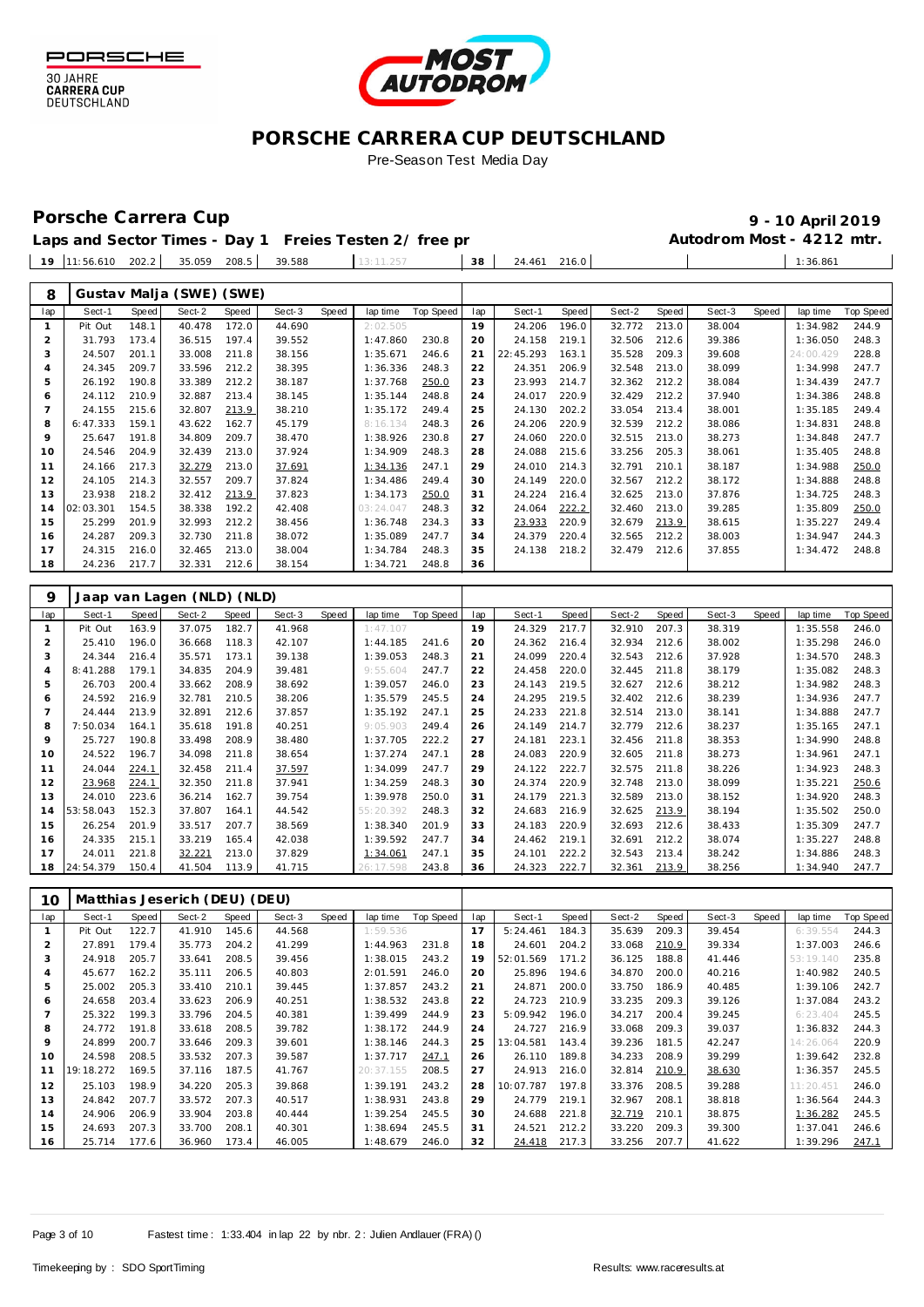

**30 JAHRE<br>CARRERA CUP** DEUTSCHLAND



### **PORSCHE CARRERA CUP DEUTSCHLAND** Pre-Season Test Media Day

### Porsche Carrera Cup **10 April 2019 9 - 10 April 2019**

|                | Laps and Sector Times - Day 1 Freies Testen 2/ free pr |                |                               |                |                  |       |                      |                  |          |                  |                |                  |                | Autodrom Most - 4212 mtr. |       |                      |                  |
|----------------|--------------------------------------------------------|----------------|-------------------------------|----------------|------------------|-------|----------------------|------------------|----------|------------------|----------------|------------------|----------------|---------------------------|-------|----------------------|------------------|
|                | 19 11:56.610 202.2                                     |                | 35.059 208.5                  |                | 39.588           |       | 13:11.257            |                  | 38       | 24.461           | 216.0          |                  |                |                           |       | 1:36.861             |                  |
|                |                                                        |                |                               |                |                  |       |                      |                  |          |                  |                |                  |                |                           |       |                      |                  |
| 8              |                                                        |                | Gustav Malja (SWE) (SWE)      |                |                  |       |                      |                  |          |                  |                |                  |                |                           |       |                      |                  |
| lap            | Sect-1                                                 | <b>Speed</b>   | Sect-2                        | Speed          | Sect-3           | Speed | lap time             | <b>Top Speed</b> | lap      | Sect-1           | Speed          | Sect-2           | <b>Speed</b>   | Sect-3                    | Speed | lap time             | <b>Top Speed</b> |
| $\mathbf{1}$   | Pit Out                                                | 148.1          | 40.478                        | 172.0          | 44.690           |       | 2:02.505             |                  | 19       | 24.206           | 196.0          | 32.772           | 213.0          | 38.004                    |       | 1:34.982             | 244.9            |
| $\overline{c}$ | 31.793                                                 | 173.4          | 36.515                        | 197.4          | 39.552           |       | 1:47.860             | 230.8            | 20       | 24.158           | 219.1          | 32.506           | 212.6          | 39.386                    |       | 1:36.050             | 248.3            |
| 3              | 24.507                                                 | 201.1          | 33.008                        | 211.8          | 38.156           |       | 1:35.671             | 246.6            | 21       | 22:45.293        | 163.1          | 35.528           | 209.3          | 39.608                    |       | 24:00.429            | 228.8            |
| 4<br>5         | 24.345<br>26.192                                       | 209.7<br>190.8 | 33.596<br>33.389              | 212.2<br>212.2 | 38.395<br>38.187 |       | 1:36.336<br>1:37.768 | 248.3<br>250.0   | 22<br>23 | 24.351<br>23.993 | 206.9<br>214.7 | 32.548<br>32.362 | 213.0<br>212.2 | 38.099<br>38.084          |       | 1:34.998<br>1:34.439 | 247.7<br>247.7   |
| 6              | 24.112                                                 | 210.9          | 32.887                        | 213.4          | 38.145           |       | 1:35.144             | 248.8            | 24       | 24.017           | 220.9          | 32.429           | 212.2          | 37.940                    |       | 1:34.386             | 248.8            |
| $\overline{7}$ | 24.155                                                 | 215.6          | 32.807                        | 213.9          | 38.210           |       | 1:35.172             | 249.4            | 25       | 24.130           | 202.2          | 33.054           | 213.4          | 38.001                    |       | 1:35.185             | 249.4            |
| 8              | 6:47.333                                               | 159.1          | 43.622                        | 162.7          | 45.179           |       | 8:16.134             | 248.3            | 26       | 24.206           | 220.9          | 32.539           | 212.2          | 38.086                    |       | 1:34.831             | 248.8            |
| 9              | 25.647                                                 | 191.8          | 34.809                        | 209.7          | 38.470           |       | 1:38.926             | 230.8            | 27       | 24.060           | 220.0          | 32.515           | 213.0          | 38.273                    |       | 1:34.848             | 247.7            |
| 10             | 24.546                                                 | 204.9          | 32.439                        | 213.0          | 37.924           |       | 1:34.909             | 248.3            | 28       | 24.088           | 215.6          | 33.256           | 205.3          | 38.061                    |       | 1:35.405             | 248.8            |
| 11             | 24.166                                                 | 217.3          | 32.279                        | 213.0          | 37.691           |       | 1:34.136             | 247.1            | 29       | 24.010           | 214.3          | 32.791           | 210.1          | 38.187                    |       | 1:34.988             | 250.0            |
| 12             | 24.105                                                 | 214.3          | 32.557                        | 209.7          | 37.824           |       | 1:34.486             | 249.4            | 30       | 24.149           | 220.0          | 32.567           | 212.2          | 38.172                    |       | 1:34.888             | 248.8            |
| 13             | 23.938                                                 | 218.2          | 32.412                        | 213.9          | 37.823           |       | 1:34.173             | 250.0            | 31       | 24.224           | 216.4          | 32.625           | 213.0          | 37.876                    |       | 1:34.725             | 248.3            |
| 14             | 02:03.301                                              | 154.5          | 38.338                        | 192.2          | 42.408           |       | 03:24.047            | 248.3            | 32       | 24.064           | 222.2          | 32.460           | 213.0          | 39.285                    |       | 1:35.809             | 250.0            |
| 15             | 25.299<br>24.287                                       | 201.9<br>209.3 | 32.993<br>32.730              | 212.2          | 38.456           |       | 1:36.748<br>1:35.089 | 234.3<br>247.7   | 33       | 23.933           | 220.9<br>220.4 | 32.679<br>32.565 | 213.9<br>212.2 | 38.615                    |       | 1:35.227<br>1:34.947 | 249.4            |
| 16<br>17       | 24.315                                                 | 216.0          | 32.465                        | 211.8<br>213.0 | 38.072<br>38.004 |       | 1:34.784             | 248.3            | 34<br>35 | 24.379<br>24.138 | 218.2          | 32.479           | 212.6          | 38.003<br>37.855          |       | 1:34.472             | 244.3<br>248.8   |
| 18             | 24.236                                                 | 217.7          | 32.331                        | 212.6          | 38.154           |       | 1:34.721             | 248.8            | 36       |                  |                |                  |                |                           |       |                      |                  |
|                |                                                        |                |                               |                |                  |       |                      |                  |          |                  |                |                  |                |                           |       |                      |                  |
| 9              |                                                        |                | Jaap van Lagen (NLD) (NLD)    |                |                  |       |                      |                  |          |                  |                |                  |                |                           |       |                      |                  |
| lap            | Sect-1                                                 | Speed          | Sect-2                        | Speed          | Sect-3           | Speed | lap time             | Top Speed        | lap      | Sect-1           | Speed          | Sect-2           | <b>Speed</b>   | Sect-3                    | Speed | lap time             | <b>Top Speed</b> |
| $\mathbf{1}$   | Pit Out                                                | 163.9          | 37.075                        | 182.7          | 41.968           |       | 1:47.107             |                  | 19       | 24.329           | 217.7          | 32.910           | 207.3          | 38.319                    |       | 1:35.558             | 246.0            |
| $\overline{c}$ | 25.410                                                 | 196.0          | 36.668                        | 118.3          | 42.107           |       | 1:44.185             | 241.6            | 20       | 24.362           | 216.4          | 32.934           | 212.6          | 38.002                    |       | 1:35.298             | 246.0            |
| 3              | 24.344                                                 | 216.4          | 35.571                        | 173.1          | 39.138           |       | 1:39.053             | 248.3            | 21       | 24.099           | 220.4          | 32.543           | 212.6          | 37.928                    |       | 1:34.570             | 248.3            |
| 4<br>5         | 8:41.288                                               | 179.1          | 34.835                        | 204.9          | 39.481           |       | 9:55.604             | 247.7            | 22       | 24.458           | 220.0          | 32.445           | 211.8          | 38.179                    |       | 1:35.082             | 248.3            |
| 6              | 26.703<br>24.592                                       | 200.4<br>216.9 | 33.662<br>32.781              | 208.9<br>210.5 | 38.692<br>38.206 |       | 1:39.057<br>1:35.579 | 246.0<br>245.5   | 23<br>24 | 24.143<br>24.295 | 219.5<br>219.5 | 32.627<br>32.402 | 212.6<br>212.6 | 38.212<br>38.239          |       | 1:34.982<br>1:34.936 | 248.3<br>247.7   |
| $\overline{7}$ | 24.444                                                 | 213.9          | 32.891                        | 212.6          | 37.857           |       | 1:35.192             | 247.1            | 25       | 24.233           | 221.8          | 32.514           | 213.0          | 38.141                    |       | 1:34.888             | 247.7            |
| 8              | 7:50.034                                               | 164.1          | 35.618                        | 191.8          | 40.251           |       | 9:05.903             | 249.4            | 26       | 24.149           | 214.7          | 32.779           | 212.6          | 38.237                    |       | 1:35.165             | 247.1            |
| 9              | 25.727                                                 | 190.8          | 33.498                        | 208.9          | 38.480           |       | 1:37.705             | 222.2            | 27       | 24.181           | 223.1          | 32.456           | 211.8          | 38.353                    |       | 1:34.990             | 248.8            |
| 10             | 24.522                                                 | 196.7          | 34.098                        | 211.8          | 38.654           |       | 1:37.274             | 247.1            | 28       | 24.083           | 220.9          | 32.605           | 211.8          | 38.273                    |       | 1:34.961             | 247.1            |
| 11             | 24.044                                                 | 224.1          | 32.458                        | 211.4          | 37.597           |       | 1:34.099             | 247.7            | 29       | 24.122           | 222.7          | 32.575           | 211.8          | 38.226                    |       | 1:34.923             | 248.3            |
| 12             | 23.968                                                 | 224.1          | 32.350                        | 211.8          | 37.941           |       | 1:34.259             | 248.3            | 30       | 24.374           | 220.9          | 32.748           | 213.0          | 38.099                    |       | 1:35.221             | 250.6            |
| 13             | 24.010                                                 | 223.6          | 36.214                        | 162.7          | 39.754           |       | 1:39.978             | 250.0            | 31       | 24.179           | 221.3          | 32.589           | 213.0          | 38.152                    |       | 1:34.920             | 248.3            |
| 14             | 53:58.043                                              | 152.3          | 37.807                        | 164.1          | 44.542           |       | 55: 20.392           | 248.3            | 32       | 24.683           | 216.9          | 32.625           | 213.9          | 38.194                    |       | 1:35.502             | 250.0            |
| 15             | 26.254                                                 | 201.9          | 33.517                        | 207.7          | 38.569           |       | 1:38.340             | 201.9            | 33       | 24.183           | 220.9          | 32.693           | 212.6          | 38.433                    |       | 1:35.309             | 247.7            |
| 16<br>17       | 24.335<br>24.011                                       | 215.1<br>221.8 | 33.219<br>32.221              | 165.4<br>213.0 | 42.038<br>37.829 |       | 1:39.592<br>1:34.061 | 247.7<br>247.1   | 34<br>35 | 24.462<br>24.101 | 219.1<br>222.2 | 32.691<br>32.543 | 212.2<br>213.4 | 38.074<br>38.242          |       | 1:35.227<br>1:34.886 | 248.8<br>248.3   |
| 18             | 24:54.379                                              | 150.4          | 41.504                        | 113.9          | 41.715           |       | 26: 17.598           | 243.8            | 36       | 24.323           | 222.7          | 32.361           | 213.9          | 38.256                    |       | 1:34.940             | 247.7            |
|                |                                                        |                |                               |                |                  |       |                      |                  |          |                  |                |                  |                |                           |       |                      |                  |
| 10             |                                                        |                | Matthias Jeserich (DEU) (DEU) |                |                  |       |                      |                  |          |                  |                |                  |                |                           |       |                      |                  |
| lap            | Sect-1                                                 | Speed          | Sect-2                        | Speed          | Sect-3           | Speed | lap time             | Top Speed        | lap      | Sect-1           | Speed          | Sect-2           | Speed          | Sect-3                    | Speed | lap time             | <b>Top Speed</b> |
| 1              | Pit Out                                                | 122.7          | 41.910                        | 145.6          | 44.568           |       | 1:59.536             |                  | 17       | 5:24.461         | 184.3          | 35.639           | 209.3          | 39.454                    |       | 6:39.554             | 244.3            |
| $\sqrt{2}$     | 27.891                                                 | 179.4          | 35.773                        | 204.2          | 41.299           |       | 1:44.963             | 231.8            | 18       | 24.601           | 204.2          | 33.068           | 210.9          | 39.334                    |       | 1:37.003             | 246.6            |
| 3              | 24.918                                                 | 205.7          | 33.641                        | 208.5          | 39.456           |       | 1:38.015             | 243.2            | 19       | 52:01.569        | 171.2          | 36.125           | 188.8          | 41.446                    |       | 53:19.140            | 235.8            |
| 4              | 45.677                                                 | 162.2          | 35.111                        | 206.5          | 40.803           |       | 2:01.591             | 246.0            | 20       | 25.896           | 194.6          | 34.870           | 200.0          | 40.216                    |       | 1:40.982             | 240.5            |
| 5<br>6         | 25.002<br>24.658                                       | 205.3<br>203.4 | 33.410<br>33.623              | 210.1<br>206.9 | 39.445<br>40.251 |       | 1:37.857<br>1:38.532 | 243.2<br>243.8   | 21<br>22 | 24.871<br>24.723 | 200.0<br>210.9 | 33.750<br>33.235 | 186.9<br>209.3 | 40.485<br>39.126          |       | 1:39.106<br>1:37.084 | 242.7<br>243.2   |
| $\overline{7}$ | 25.322                                                 | 199.3          | 33.796                        | 204.5          | 40.381           |       | 1:39.499             | 244.9            | 23       | 5:09.942         | 196.0          | 34.217           | 200.4          | 39.245                    |       | 6:23.404             | 245.5            |
| 8              | 24.772                                                 | 191.8          | 33.618                        | 208.5          | 39.782           |       | 1:38.172             | 244.9            | 24       | 24.727           | 216.9          | 33.068           | 209.3          | 39.037                    |       | 1:36.832             | 244.3            |
| 9              | 24.899                                                 | 200.7          | 33.646                        | 209.3          | 39.601           |       | 1:38.146             | 244.3            | 25       | 13:04.581        | 143.4          | 39.236           | 181.5          | 42.247                    |       | 14:26.064            | 220.9            |
| 10             | 24.598                                                 | 208.5          | 33.532                        | 207.3          | 39.587           |       | 1:37.717             | 247.1            | 26       | 26.110           | 189.8          | 34.233           | 208.9          | 39.299                    |       | 1:39.642             | 232.8            |
| 11             | 19:18.272                                              | 169.5          | 37.116                        | 187.5          | 41.767           |       | 20:37.155            | 208.5            | 27       | 24.913           | 216.0          | 32.814           | 210.9          | 38.630                    |       | 1:36.357             | 245.5            |
| 12             | 25.103                                                 | 198.9          | 34.220                        | 205.3          | 39.868           |       | 1:39.191             | 243.2            | 28       | 10:07.787        | 197.8          | 33.376           | 208.5          | 39.288                    |       | 11:20.451            | 246.0            |
|                |                                                        |                | 33.572                        | 207.3          | 40.517           |       | 1:38.931             | 243.8            | 29       | 24.779           | 219.1          | 32.967           | 208.1          | 38.818                    |       |                      | 244.3            |
| 13<br>14       | 24.842<br>24.906                                       | 207.7<br>206.9 | 33.904                        | 203.8          | 40.444           |       |                      | 245.5            |          | 24.688           | 221.8          | 32.719 210.1     |                | 38.875                    |       | 1:36.564<br>1:36.282 | 245.5            |

 24.906 206.9 33.904 203.8 40.444 1:39.254 245.5 24.693 207.3 33.700 208.1 40.301 1:38.694 245.5 25.714 177.6 36.960 173.4 46.005 1:48.679 246.0

 24.688 221.8 32.719 210.1 38.875 1:36.282 24.521 212.2 33.220 209.3 39.300 1:37.041 246.6 24.418 217.3 33.256 207.7 41.622 1:39.296 247.1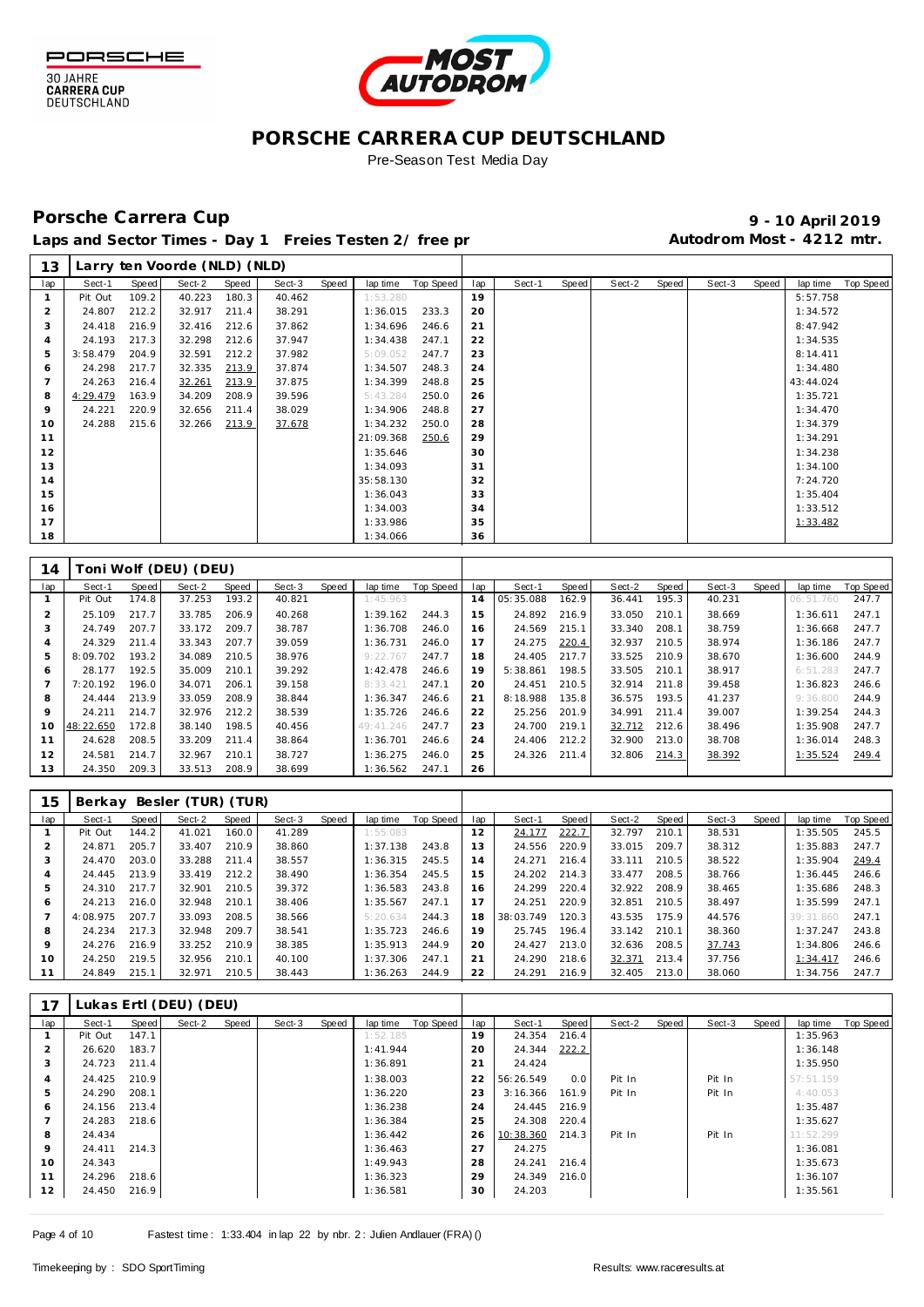



### **PORSCHE CARRERA CUP DEUTSCHLAND** Pre-Season Test Media Day

## Porsche Carrera Cup **10 April 2019 9 - 10 April 2019**

Laps and Sector Times - Day 1 Freies Testen 2/ free practic 20 and Autodrom Most - 4212 mtr.

| 13             |           |       | Larry ten Voorde (NLD) (NLD) |       |        |       |           |           |     |           |       |        |       |        |       |           |                  |
|----------------|-----------|-------|------------------------------|-------|--------|-------|-----------|-----------|-----|-----------|-------|--------|-------|--------|-------|-----------|------------------|
| lap            | Sect-1    | Speed | Sect-2                       | Speed | Sect-3 | Speed | lap time  | Top Speed | lap | Sect-1    | Speed | Sect-2 | Speed | Sect-3 | Speed | lap time  | <b>Top Speed</b> |
| $\mathbf{1}$   | Pit Out   | 109.2 | 40.223                       | 180.3 | 40.462 |       | 1:53.280  |           | 19  |           |       |        |       |        |       | 5:57.758  |                  |
| $\overline{2}$ | 24.807    | 212.2 | 32.917                       | 211.4 | 38.291 |       | 1:36.015  | 233.3     | 20  |           |       |        |       |        |       | 1:34.572  |                  |
| 3              | 24.418    | 216.9 | 32.416                       | 212.6 | 37.862 |       | 1:34.696  | 246.6     | 21  |           |       |        |       |        |       | 8:47.942  |                  |
| $\overline{4}$ | 24.193    | 217.3 | 32.298                       | 212.6 | 37.947 |       | 1:34.438  | 247.1     | 22  |           |       |        |       |        |       | 1:34.535  |                  |
| 5              | 3:58.479  | 204.9 | 32.591                       | 212.2 | 37.982 |       | 5:09.052  | 247.7     | 23  |           |       |        |       |        |       | 8:14.411  |                  |
| 6              | 24.298    | 217.7 | 32.335                       | 213.9 | 37.874 |       | 1:34.507  | 248.3     | 24  |           |       |        |       |        |       | 1:34.480  |                  |
| $\overline{7}$ | 24.263    | 216.4 | 32.261                       | 213.9 | 37.875 |       | 1:34.399  | 248.8     | 25  |           |       |        |       |        |       | 43:44.024 |                  |
| 8              | 4:29.479  | 163.9 | 34.209                       | 208.9 | 39.596 |       | 5:43.284  | 250.0     | 26  |           |       |        |       |        |       | 1:35.721  |                  |
| 9              | 24.221    | 220.9 | 32.656                       | 211.4 | 38.029 |       | 1:34.906  | 248.8     | 27  |           |       |        |       |        |       | 1:34.470  |                  |
| 10             | 24.288    | 215.6 | 32.266                       | 213.9 | 37.678 |       | 1:34.232  | 250.0     | 28  |           |       |        |       |        |       | 1:34.379  |                  |
| 11             |           |       |                              |       |        |       | 21:09.368 | 250.6     | 29  |           |       |        |       |        |       | 1:34.291  |                  |
| 12             |           |       |                              |       |        |       | 1:35.646  |           | 30  |           |       |        |       |        |       | 1:34.238  |                  |
| 13             |           |       |                              |       |        |       | 1:34.093  |           | 31  |           |       |        |       |        |       | 1:34.100  |                  |
| 14             |           |       |                              |       |        |       | 35:58.130 |           | 32  |           |       |        |       |        |       | 7:24.720  |                  |
| 15             |           |       |                              |       |        |       | 1:36.043  |           | 33  |           |       |        |       |        |       | 1:35.404  |                  |
| 16             |           |       |                              |       |        |       | 1:34.003  |           | 34  |           |       |        |       |        |       | 1:33.512  |                  |
| 17             |           |       |                              |       |        |       | 1:33.986  |           | 35  |           |       |        |       |        |       | 1:33.482  |                  |
| 18             |           |       |                              |       |        |       | 1:34.066  |           | 36  |           |       |        |       |        |       |           |                  |
|                |           |       |                              |       |        |       |           |           |     |           |       |        |       |        |       |           |                  |
| 14             |           |       | Toni Wolf (DEU) (DEU)        |       |        |       |           |           |     |           |       |        |       |        |       |           |                  |
| lap            | Sect-1    | Speed | Sect-2                       | Speed | Sect-3 | Speed | lap time  | Top Speed | lap | Sect-1    | Speed | Sect-2 | Speed | Sect-3 | Speed | lap time  | <b>Top Speed</b> |
| $\mathbf{1}$   | Pit Out   | 174.8 | 37.253                       | 193.2 | 40.821 |       | 1:45.963  |           | 14  | 05:35.088 | 162.9 | 36.441 | 195.3 | 40.231 |       | 06:51.760 | 247.7            |
| $\overline{2}$ | 25.109    | 217.7 | 33.785                       | 206.9 | 40.268 |       | 1:39.162  | 244.3     | 15  | 24.892    | 216.9 | 33.050 | 210.1 | 38.669 |       | 1:36.611  | 247.1            |
| 3              | 24.749    | 207.7 | 33.172                       | 209.7 | 38.787 |       | 1:36.708  | 246.0     | 16  | 24.569    | 215.1 | 33.340 | 208.1 | 38.759 |       | 1:36.668  | 247.7            |
| $\overline{4}$ | 24.329    | 211.4 | 33.343                       | 207.7 | 39.059 |       | 1:36.731  | 246.0     | 17  | 24.275    | 220.4 | 32.937 | 210.5 | 38.974 |       | 1:36.186  | 247.7            |
| 5              | 8:09.702  | 193.2 | 34.089                       | 210.5 | 38.976 |       | 9:22.767  | 247.7     | 18  | 24.405    | 217.7 | 33.525 | 210.9 | 38.670 |       | 1:36.600  | 244.9            |
| 6              | 28.177    | 192.5 | 35.009                       | 210.1 | 39.292 |       | 1:42.478  | 246.6     | 19  | 5:38.861  | 198.5 | 33.505 | 210.1 | 38.917 |       | 6:51.283  | 247.7            |
| $\overline{7}$ | 7:20.192  | 196.0 | 34.071                       | 206.1 | 39.158 |       | 8:33.421  | 247.1     | 20  | 24.451    | 210.5 | 32.914 | 211.8 | 39.458 |       | 1:36.823  | 246.6            |
| 8              | 24.444    | 213.9 | 33.059                       | 208.9 | 38.844 |       | 1:36.347  | 246.6     | 21  | 8:18.988  | 135.8 | 36.575 | 193.5 | 41.237 |       | 9:36.800  | 244.9            |
| 9              | 24.211    | 214.7 | 32.976                       | 212.2 | 38.539 |       | 1:35.726  | 246.6     | 22  | 25.256    | 201.9 | 34.991 | 211.4 | 39.007 |       | 1:39.254  | 244.3            |
| 10             | 48:22.650 | 172.8 | 38.140                       | 198.5 | 40.456 |       | 49:41.246 | 247.7     | 23  | 24.700    | 219.1 | 32.712 | 212.6 | 38.496 |       | 1:35.908  | 247.7            |
| 11             | 24.628    | 208.5 | 33.209                       | 211.4 | 38.864 |       | 1:36.701  | 246.6     | 24  | 24.406    | 212.2 | 32.900 | 213.0 | 38.708 |       | 1:36.014  | 248.3            |
| 12             | 24.581    | 214.7 | 32.967                       | 210.1 | 38.727 |       | 1:36.275  | 246.0     | 25  | 24.326    | 211.4 | 32.806 | 214.3 | 38.392 |       | 1:35.524  | 249.4            |
| 13             | 24.350    | 209.3 | 33.513                       | 208.9 | 38.699 |       | 1:36.562  | 247.1     | 26  |           |       |        |       |        |       |           |                  |
|                |           |       |                              |       |        |       |           |           |     |           |       |        |       |        |       |           |                  |
|                |           |       |                              |       |        |       |           |           |     |           |       |        |       |        |       |           |                  |
| 15             |           |       | Berkay Besler (TUR) (TUR)    |       |        |       |           |           |     |           |       |        |       |        |       |           |                  |
| lap            | Sect-1    | Speed | Sect-2                       | Speed | Sect-3 | Speed | lap time  | Top Speed | lap | Sect-1    | Speed | Sect-2 | Speed | Sect-3 | Speed | lap time  | <b>Top Speed</b> |
| $\mathbf{1}$   | Pit Out   | 144.2 | 41.021                       | 160.0 | 41.289 |       | 1:55.083  |           | 12  | 24.177    | 222.7 | 32.797 | 210.1 | 38.531 |       | 1:35.505  | 245.5            |
| $\overline{2}$ | 24.871    | 205.7 | 33.407                       | 210.9 | 38.860 |       | 1:37.138  | 243.8     | 13  | 24.556    | 220.9 | 33.015 | 209.7 | 38.312 |       | 1:35.883  | 247.7            |
| 3              | 24.470    | 203.0 | 33.288                       | 211.4 | 38.557 |       | 1:36.315  | 245.5     | 14  | 24.271    | 216.4 | 33.111 | 210.5 | 38.522 |       | 1:35.904  | 249.4            |
| $\overline{4}$ | 24.445    | 213.9 | 33.419                       | 212.2 | 38.490 |       | 1:36.354  | 245.5     | 15  | 24.202    | 214.3 | 33.477 | 208.5 | 38.766 |       | 1:36.445  | 246.6            |
| 5              | 24.310    | 217.7 | 32.901                       | 210.5 | 39.372 |       | 1:36.583  | 243.8     | 16  | 24.299    | 220.4 | 32.922 | 208.9 | 38.465 |       | 1:35.686  | 248.3            |
| 6              | 24.213    | 216.0 | 32.948                       | 210.1 | 38.406 |       | 1:35.567  | 247.1     | 17  | 24.251    | 220.9 | 32.851 | 210.5 | 38.497 |       | 1:35.599  | 247.1            |
| $\overline{7}$ | 4:08.975  | 207.7 | 33.093                       | 208.5 | 38.566 |       | 5:20.634  | 244.3     | 18  | 38:03.749 | 120.3 | 43.535 | 175.9 | 44.576 |       | 39:31.860 | 247.1            |
| 8              | 24.234    | 217.3 | 32.948                       | 209.7 | 38.541 |       | 1:35.723  | 246.6     | 19  | 25.745    | 196.4 | 33.142 | 210.1 | 38.360 |       | 1:37.247  | 243.8            |
| 9              | 24.276    | 216.9 | 33.252                       | 210.9 | 38.385 |       | 1:35.913  | 244.9     | 20  | 24.427    | 213.0 | 32.636 | 208.5 | 37.743 |       | 1:34.806  | 246.6            |
| 10             | 24.250    | 219.5 | 32.956                       | 210.1 | 40.100 |       | 1:37.306  | 247.1     | 21  | 24.290    | 218.6 | 32.371 | 213.4 | 37.756 |       | 1:34.417  | 246.6            |
| 11             | 24.849    | 215.1 | 32.971                       | 210.5 | 38.443 |       | 1:36.263  | 244.9     | 22  | 24.291    | 216.9 | 32.405 | 213.0 | 38.060 |       | 1:34.756  | 247.7            |

| 17  |         |       | Lukas Ertl (DEU) (DEU) |       |        |       |          |           |     |           |       |        |       |        |       |           |           |
|-----|---------|-------|------------------------|-------|--------|-------|----------|-----------|-----|-----------|-------|--------|-------|--------|-------|-----------|-----------|
| lap | Sect-1  | Speed | Sect-2                 | Speed | Sect-3 | Speed | lap time | Top Speed | lap | Sect-1    | Speed | Sect-2 | Speed | Sect-3 | Speed | lap time  | Top Speed |
|     | Pit Out | 147.1 |                        |       |        |       | 1:52.185 |           | 19  | 24.354    | 216.4 |        |       |        |       | 1:35.963  |           |
| ∠   | 26.620  | 183.7 |                        |       |        |       | 1:41.944 |           | 20  | 24.344    | 222.2 |        |       |        |       | 1:36.148  |           |
| 3   | 24.723  | 211.4 |                        |       |        |       | 1:36.891 |           | 21  | 24.424    |       |        |       |        |       | 1:35.950  |           |
| 4   | 24.425  | 210.9 |                        |       |        |       | 1:38.003 |           | 22  | 56:26.549 | 0.0   | Pit In |       | Pit In |       | 57:51.159 |           |
| 5   | 24.290  | 208.1 |                        |       |        |       | 1:36.220 |           | 23  | 3:16.366  | 161.9 | Pit In |       | Pit In |       | 4:40.053  |           |
| 6   | 24.156  | 213.4 |                        |       |        |       | 1:36.238 |           | 24  | 24.445    | 216.9 |        |       |        |       | 1:35.487  |           |
|     | 24.283  | 218.6 |                        |       |        |       | 1:36.384 |           | 25  | 24.308    | 220.4 |        |       |        |       | 1:35.627  |           |
| 8   | 24.434  |       |                        |       |        |       | 1:36.442 |           | 26  | 10:38.360 | 214.3 | Pit In |       | Pit In |       | 11:52.299 |           |
| 9   | 24.411  | 214.3 |                        |       |        |       | 1:36.463 |           | 27  | 24.275    |       |        |       |        |       | 1:36.081  |           |
| 10  | 24.343  |       |                        |       |        |       | 1:49.943 |           | 28  | 24.241    | 216.4 |        |       |        |       | 1:35.673  |           |
| 11  | 24.296  | 218.6 |                        |       |        |       | 1:36.323 |           | 29  | 24.349    | 216.0 |        |       |        |       | 1:36.107  |           |
| 12  | 24.450  | 216.9 |                        |       |        |       | 1:36.581 |           | 30  | 24.203    |       |        |       |        |       | 1:35.561  |           |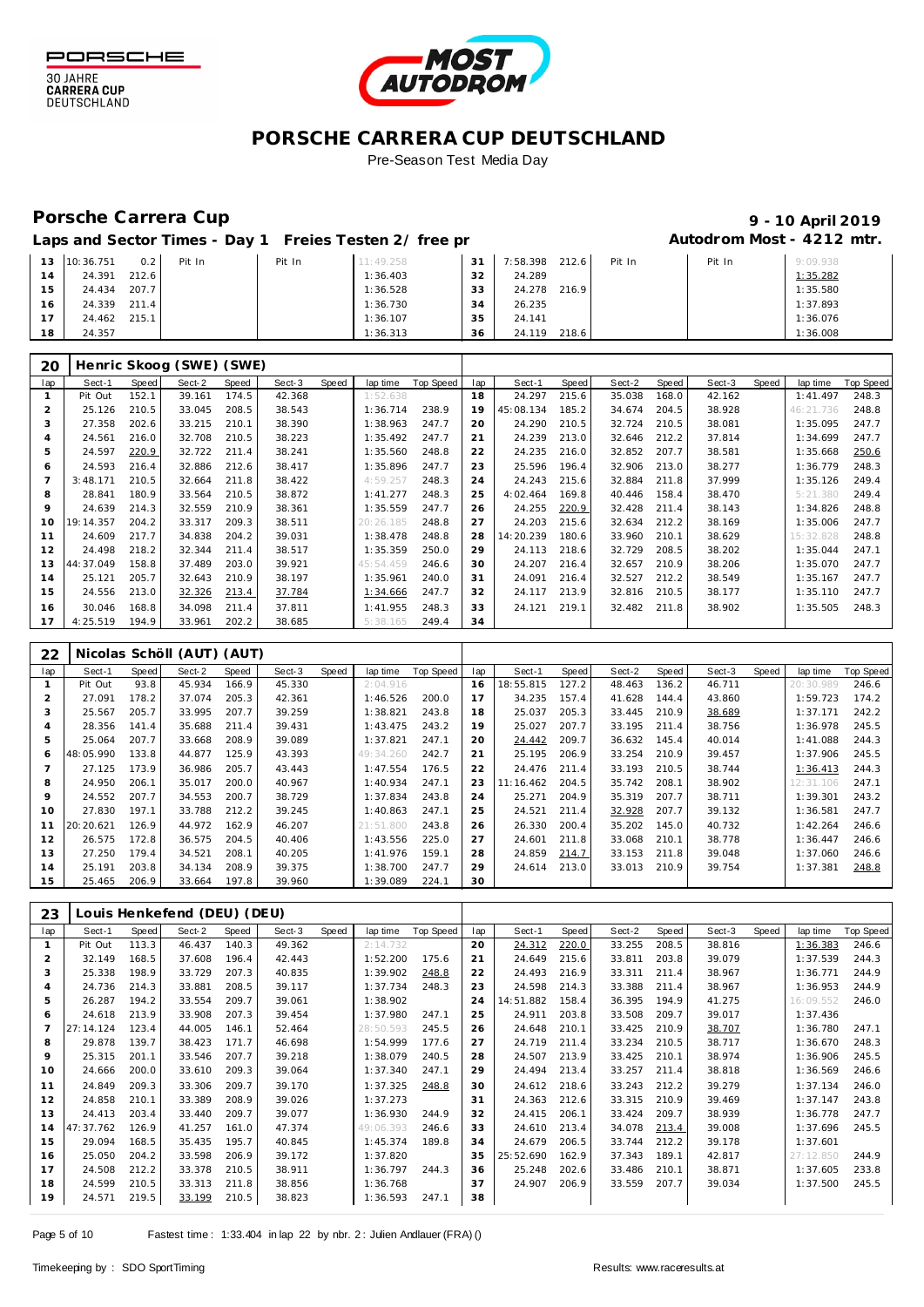

30 JAHRE<br>CARRERA CUP<br>DEUTSCHLAND



## **PORSCHE CARRERA CUP DEUTSCHLAND**

## Pre-Season Test Media Day

# Porsche Carrera Cup **10 April 2019 9 - 10 April 2019**

| Laps and Sector Times - Day 1 Freies Testen 2/ free pr | Autodrom Most - 4212 mtr. |
|--------------------------------------------------------|---------------------------|
|                                                        |                           |

| 13             | 10:36.751 | 0.2   | Pit In | Pit In | 11:49.258 | 31 | 7:58.398 | 212.6 | Pit In | Pit In | 9:09.938 |
|----------------|-----------|-------|--------|--------|-----------|----|----------|-------|--------|--------|----------|
|                | 24.391    | 212.6 |        |        | 1:36.403  | 32 | 24.289   |       |        |        | 1:35.282 |
| 15             | 24.434    | 207.7 |        |        | 1:36.528  | 33 | 24.278   | 216.9 |        |        | 1:35.580 |
| 16             | 24.339    | 211.4 |        |        | 1:36.730  | 34 | 26.235   |       |        |        | 1:37.893 |
| $\overline{ }$ | 24.462    | 215.1 |        |        | 1:36.107  | 35 | 24.141   |       |        |        | 1:36.076 |
| 18             | 24.357    |       |        |        | 1:36.313  | 36 | 24.119   | 218.6 |        |        | 1:36.008 |

| 20             |           |       | Henric Skoog (SWE) (SWE) |       |        |       |           |           |     |           |       |        |       |        |       |           |           |
|----------------|-----------|-------|--------------------------|-------|--------|-------|-----------|-----------|-----|-----------|-------|--------|-------|--------|-------|-----------|-----------|
| lap            | Sect-1    | Speed | Sect-2                   | Speed | Sect-3 | Speed | lap time  | Top Speed | lap | Sect-1    | Speed | Sect-2 | Speed | Sect-3 | Speed | lap time  | Top Speed |
|                | Pit Out   | 152.1 | 39.161                   | 174.5 | 42.368 |       | 1:52.638  |           | 18  | 24.297    | 215.6 | 35.038 | 168.0 | 42.162 |       | 1:41.497  | 248.3     |
| $\overline{2}$ | 25.126    | 210.5 | 33.045                   | 208.5 | 38.543 |       | 1:36.714  | 238.9     | 19  | 45:08.134 | 185.2 | 34.674 | 204.5 | 38.928 |       | 46:21.736 | 248.8     |
| 3              | 27.358    | 202.6 | 33.215                   | 210.1 | 38.390 |       | 1:38.963  | 247.7     | 20  | 24.290    | 210.5 | 32.724 | 210.5 | 38.081 |       | 1:35.095  | 247.7     |
| 4              | 24.561    | 216.0 | 32.708                   | 210.5 | 38.223 |       | 1:35.492  | 247.7     | 21  | 24.239    | 213.0 | 32.646 | 212.2 | 37.814 |       | 1:34.699  | 247.7     |
| 5              | 24.597    | 220.9 | 32.722                   | 211.4 | 38.241 |       | 1:35.560  | 248.8     | 22  | 24.235    | 216.0 | 32.852 | 207.7 | 38.581 |       | 1:35.668  | 250.6     |
| 6              | 24.593    | 216.4 | 32.886                   | 212.6 | 38.417 |       | 1:35.896  | 247.7     | 23  | 25.596    | 196.4 | 32.906 | 213.0 | 38.277 |       | 1:36.779  | 248.3     |
|                | 3:48.171  | 210.5 | 32.664                   | 211.8 | 38.422 |       | 4:59.257  | 248.3     | 24  | 24.243    | 215.6 | 32.884 | 211.8 | 37.999 |       | 1:35.126  | 249.4     |
| 8              | 28.841    | 180.9 | 33.564                   | 210.5 | 38.872 |       | 1:41.277  | 248.3     | 25  | 4:02.464  | 169.8 | 40.446 | 158.4 | 38.470 |       | 5:21.380  | 249.4     |
| 9              | 24.639    | 214.3 | 32.559                   | 210.9 | 38.361 |       | 1:35.559  | 247.7     | 26  | 24.255    | 220.9 | 32.428 | 211.4 | 38.143 |       | 1:34.826  | 248.8     |
| 10             | 19:14.357 | 204.2 | 33.317                   | 209.3 | 38.511 |       | 20:26.185 | 248.8     | 27  | 24.203    | 215.6 | 32.634 | 212.2 | 38.169 |       | 1:35.006  | 247.7     |
| 11             | 24.609    | 217.7 | 34.838                   | 204.2 | 39.031 |       | 1:38.478  | 248.8     | 28  | 14:20.239 | 180.6 | 33.960 | 210.1 | 38.629 |       | 15:32.828 | 248.8     |
| 12             | 24.498    | 218.2 | 32.344                   | 211.4 | 38.517 |       | 1:35.359  | 250.0     | 29  | 24.113    | 218.6 | 32.729 | 208.5 | 38.202 |       | 1:35.044  | 247.1     |
| 13             | 44:37.049 | 158.8 | 37.489                   | 203.0 | 39.921 |       | 45:54.459 | 246.6     | 30  | 24.207    | 216.4 | 32.657 | 210.9 | 38.206 |       | 1:35.070  | 247.7     |
| 14             | 25.121    | 205.7 | 32.643                   | 210.9 | 38.197 |       | 1:35.961  | 240.0     | 31  | 24.091    | 216.4 | 32.527 | 212.2 | 38.549 |       | 1:35.167  | 247.7     |
| 15             | 24.556    | 213.0 | 32.326                   | 213.4 | 37.784 |       | 1:34.666  | 247.7     | 32  | 24.117    | 213.9 | 32.816 | 210.5 | 38.177 |       | 1:35.110  | 247.7     |
| 16             | 30.046    | 168.8 | 34.098                   | 211.4 | 37.811 |       | 1:41.955  | 248.3     | 33  | 24.121    | 219.1 | 32.482 | 211.8 | 38.902 |       | 1:35.505  | 248.3     |
| 17             | 4:25.519  | 194.9 | 33.961                   | 202.2 | 38.685 |       | 5:38.165  | 249.4     | 34  |           |       |        |       |        |       |           |           |

| 22  |           |       | Nicolas Schöll (AUT) (AUT) |       |        |       |            |           |     |           |       |        |       |        |       |           |                  |
|-----|-----------|-------|----------------------------|-------|--------|-------|------------|-----------|-----|-----------|-------|--------|-------|--------|-------|-----------|------------------|
| lap | Sect-1    | Speed | Sect-2                     | Speed | Sect-3 | Speed | lap time   | Top Speed | lap | Sect-1    | Speed | Sect-2 | Speed | Sect-3 | Speed | lap time  | <b>Top Speed</b> |
|     | Pit Out   | 93.8  | 45.934                     | 166.9 | 45.330 |       | 2:04.916   |           | 16  | 18:55.815 | 127.2 | 48.463 | 136.2 | 46.711 |       | 20:30.989 | 246.6            |
| 2   | 27.091    | 178.2 | 37.074                     | 205.3 | 42.361 |       | 1:46.526   | 200.0     |     | 34.235    | 157.4 | 41.628 | 144.4 | 43.860 |       | 1:59.723  | 174.2            |
| 3   | 25.567    | 205.7 | 33.995                     | 207.7 | 39.259 |       | 1:38.821   | 243.8     | 18  | 25.037    | 205.3 | 33.445 | 210.9 | 38.689 |       | 1:37.171  | 242.2            |
| 4   | 28.356    | 141.4 | 35.688                     | 211.4 | 39.431 |       | 1:43.475   | 243.2     | 19  | 25.027    | 207.7 | 33.195 | 211.4 | 38.756 |       | 1:36.978  | 245.5            |
| 5   | 25.064    | 207.7 | 33.668                     | 208.9 | 39.089 |       | 1:37.821   | 247.1     | 20  | 24.442    | 209.7 | 36.632 | 145.4 | 40.014 |       | 1:41.088  | 244.3            |
| 6   | 48:05.990 | 133.8 | 44.877                     | 125.9 | 43.393 |       | 49: 34.260 | 242.7     | 21  | 25.195    | 206.9 | 33.254 | 210.9 | 39.457 |       | 1:37.906  | 245.5            |
|     | 27.125    | 173.9 | 36.986                     | 205.7 | 43.443 |       | 1:47.554   | 176.5     | 22  | 24.476    | 211.4 | 33.193 | 210.5 | 38.744 |       | 1:36.413  | 244.3            |
| 8   | 24.950    | 206.1 | 35.017                     | 200.0 | 40.967 |       | 1:40.934   | 247.1     | 23  | 11:16.462 | 204.5 | 35.742 | 208.1 | 38.902 |       | 12:31.106 | 247.1            |
| 9   | 24.552    | 207.7 | 34.553                     | 200.7 | 38.729 |       | 1:37.834   | 243.8     | 24  | 25.271    | 204.9 | 35.319 | 207.7 | 38.711 |       | 1:39.301  | 243.2            |
| 10  | 27.830    | 197.1 | 33.788                     | 212.2 | 39.245 |       | 1:40.863   | 247.1     | 25  | 24.521    | 211.4 | 32.928 | 207.7 | 39.132 |       | 1:36.581  | 247.7            |
| 11  | 20:20.621 | 126.9 | 44.972                     | 162.9 | 46.207 |       | 21:51.800  | 243.8     | 26  | 26.330    | 200.4 | 35.202 | 145.0 | 40.732 |       | 1:42.264  | 246.6            |
| 12  | 26.575    | 172.8 | 36.575                     | 204.5 | 40.406 |       | 1:43.556   | 225.0     | 27  | 24.601    | 211.8 | 33.068 | 210.1 | 38.778 |       | 1:36.447  | 246.6            |
| 13  | 27.250    | 179.4 | 34.521                     | 208.1 | 40.205 |       | 1:41.976   | 159.1     | 28  | 24.859    | 214.7 | 33.153 | 211.8 | 39.048 |       | 1:37.060  | 246.6            |
| 14  | 25.191    | 203.8 | 34.134                     | 208.9 | 39.375 |       | 1:38.700   | 247.7     | 29  | 24.614    | 213.0 | 33.013 | 210.9 | 39.754 |       | 1:37.381  | 248.8            |
| 15  | 25.465    | 206.9 | 33.664                     | 197.8 | 39.960 |       | 1:39.089   | 224.1     | 30  |           |       |        |       |        |       |           |                  |

| 23  |           |       | Louis Henkefend (DEU) (DEU) |       |        |       |           |           |     |           |       |        |       |        |       |           |                  |
|-----|-----------|-------|-----------------------------|-------|--------|-------|-----------|-----------|-----|-----------|-------|--------|-------|--------|-------|-----------|------------------|
| lap | Sect-1    | Speed | Sect-2                      | Speed | Sect-3 | Speed | lap time  | Top Speed | lap | Sect-1    | Speed | Sect-2 | Speed | Sect-3 | Speed | lap time  | <b>Top Speed</b> |
|     | Pit Out   | 113.3 | 46.437                      | 140.3 | 49.362 |       | 2:14.732  |           | 20  | 24.312    | 220.0 | 33.255 | 208.5 | 38.816 |       | 1:36.383  | 246.6            |
|     | 32.149    | 168.5 | 37.608                      | 196.4 | 42.443 |       | 1:52.200  | 175.6     | 21  | 24.649    | 215.6 | 33.811 | 203.8 | 39.079 |       | 1:37.539  | 244.3            |
| 3   | 25.338    | 198.9 | 33.729                      | 207.3 | 40.835 |       | 1:39.902  | 248.8     | 22  | 24.493    | 216.9 | 33.311 | 211.4 | 38.967 |       | 1:36.771  | 244.9            |
| 4   | 24.736    | 214.3 | 33.881                      | 208.5 | 39.117 |       | 1:37.734  | 248.3     | 23  | 24.598    | 214.3 | 33.388 | 211.4 | 38.967 |       | 1:36.953  | 244.9            |
| 5   | 26.287    | 194.2 | 33.554                      | 209.7 | 39.061 |       | 1:38.902  |           | 24  | 14:51.882 | 158.4 | 36.395 | 194.9 | 41.275 |       | 16:09.552 | 246.0            |
| 6   | 24.618    | 213.9 | 33.908                      | 207.3 | 39.454 |       | 1:37.980  | 247.1     | 25  | 24.911    | 203.8 | 33.508 | 209.7 | 39.017 |       | 1:37.436  |                  |
|     | 27:14.124 | 123.4 | 44.005                      | 146.1 | 52.464 |       | 28:50.593 | 245.5     | 26  | 24.648    | 210.1 | 33.425 | 210.9 | 38.707 |       | 1:36.780  | 247.1            |
| 8   | 29.878    | 139.7 | 38.423                      | 171.7 | 46.698 |       | 1:54.999  | 177.6     | 27  | 24.719    | 211.4 | 33.234 | 210.5 | 38.717 |       | 1:36.670  | 248.3            |
| 9   | 25.315    | 201.1 | 33.546                      | 207.7 | 39.218 |       | 1:38.079  | 240.5     | 28  | 24.507    | 213.9 | 33.425 | 210.1 | 38.974 |       | 1:36.906  | 245.5            |
| 10  | 24.666    | 200.0 | 33.610                      | 209.3 | 39.064 |       | 1:37.340  | 247.1     | 29  | 24.494    | 213.4 | 33.257 | 211.4 | 38.818 |       | 1:36.569  | 246.6            |
| 11  | 24.849    | 209.3 | 33.306                      | 209.7 | 39.170 |       | 1:37.325  | 248.8     | 30  | 24.612    | 218.6 | 33.243 | 212.2 | 39.279 |       | 1:37.134  | 246.0            |
| 12  | 24.858    | 210.1 | 33.389                      | 208.9 | 39.026 |       | 1:37.273  |           | 31  | 24.363    | 212.6 | 33.315 | 210.9 | 39.469 |       | 1:37.147  | 243.8            |
| 13  | 24.413    | 203.4 | 33.440                      | 209.7 | 39.077 |       | 1:36.930  | 244.9     | 32  | 24.415    | 206.1 | 33.424 | 209.7 | 38.939 |       | 1:36.778  | 247.7            |
| 14  | 47:37.762 | 126.9 | 41.257                      | 161.0 | 47.374 |       | 49:06.393 | 246.6     | 33  | 24.610    | 213.4 | 34.078 | 213.4 | 39.008 |       | 1:37.696  | 245.5            |
| 15  | 29.094    | 168.5 | 35.435                      | 195.7 | 40.845 |       | 1:45.374  | 189.8     | 34  | 24.679    | 206.5 | 33.744 | 212.2 | 39.178 |       | 1:37.601  |                  |
| 16  | 25.050    | 204.2 | 33.598                      | 206.9 | 39.172 |       | 1:37.820  |           | 35  | 25:52.690 | 162.9 | 37.343 | 189.1 | 42.817 |       | 27:12.850 | 244.9            |
| 17  | 24.508    | 212.2 | 33.378                      | 210.5 | 38.911 |       | 1:36.797  | 244.3     | 36  | 25.248    | 202.6 | 33.486 | 210.1 | 38.871 |       | 1:37.605  | 233.8            |
| 18  | 24.599    | 210.5 | 33.313                      | 211.8 | 38.856 |       | 1:36.768  |           | 37  | 24.907    | 206.9 | 33.559 | 207.7 | 39.034 |       | 1:37.500  | 245.5            |
| 19  | 24.571    | 219.5 | 33.199                      | 210.5 | 38.823 |       | 1:36.593  | 247.1     | 38  |           |       |        |       |        |       |           |                  |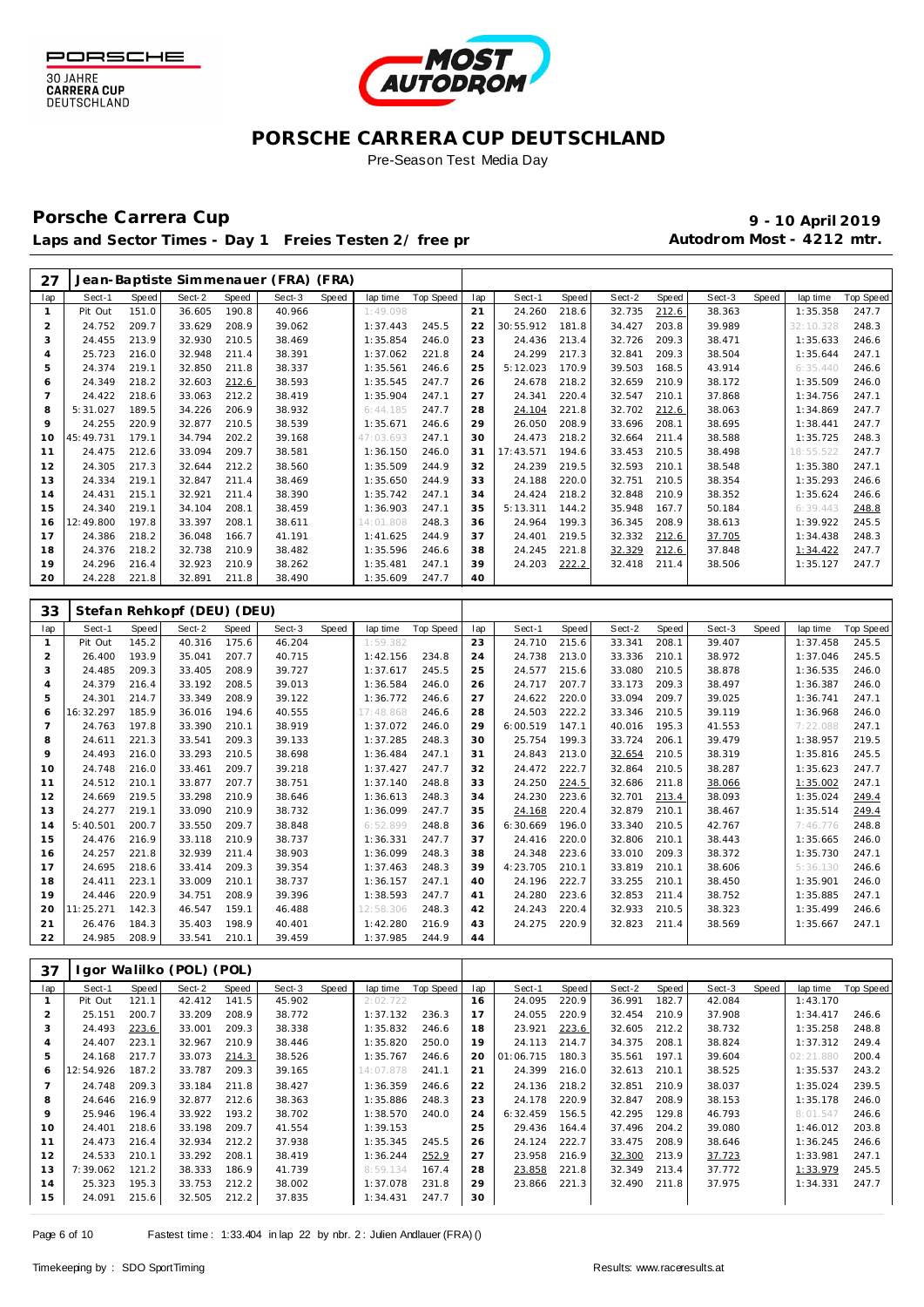

30 JAHRE

**CARRERA CUP** DEUTSCHLAND



## **PORSCHE CARRERA CUP DEUTSCHLAND**

Pre-Season Test Media Day

### Porsche Carrera Cup **10 April 2019 9 - 10 April 2019** Laps and Sector Times - Day 1 Freies Testen 2/ free practic 20 and 20 Autodrom Most - 4212 mtr.

| 27                      |                  |                |                            |                | Jean-Baptiste Simmenauer (FRA) (FRA) |       |                      |                  |          |                     |                |                  |                |                  |       |                       |                  |
|-------------------------|------------------|----------------|----------------------------|----------------|--------------------------------------|-------|----------------------|------------------|----------|---------------------|----------------|------------------|----------------|------------------|-------|-----------------------|------------------|
| lap                     | Sect-1           | <b>Speed</b>   | Sect-2                     | <b>Speed</b>   | Sect-3                               | Speed | lap time             | <b>Top Speed</b> | lap      | Sect-1              | Speed          | Sect-2           | Speed          | Sect-3           | Speed | lap time              | <b>Top Speed</b> |
| $\mathbf{1}$            | Pit Out          | 151.0          | 36.605                     | 190.8          | 40.966                               |       | 1:49.098             |                  | 21       | 24.260              | 218.6          | 32.735           | 212.6          | 38.363           |       | 1:35.358              | 247.7            |
| $\overline{c}$          | 24.752           | 209.7          | 33.629                     | 208.9          | 39.062                               |       | 1:37.443             | 245.5            | 22       | 30:55.912           | 181.8          | 34.427           | 203.8          | 39.989           |       | 32:10.328             | 248.3            |
| 3                       | 24.455           | 213.9          | 32.930                     | 210.5          | 38.469                               |       | 1:35.854             | 246.0            | 23       | 24.436              | 213.4          | 32.726           | 209.3          | 38.471           |       | 1:35.633              | 246.6            |
| 4                       | 25.723           | 216.0          | 32.948                     | 211.4          | 38.391                               |       | 1:37.062             | 221.8            | 24       | 24.299              | 217.3          | 32.841           | 209.3          | 38.504           |       | 1:35.644              | 247.1            |
| 5                       | 24.374           | 219.1          | 32.850                     | 211.8          | 38.337                               |       | 1:35.561             | 246.6            | 25       | 5:12.023            | 170.9          | 39.503           | 168.5          | 43.914           |       | 6:35.440              | 246.6            |
| 6                       | 24.349           | 218.2          | 32.603                     | 212.6          | 38.593                               |       | 1:35.545             | 247.7            | 26       | 24.678              | 218.2          | 32.659           | 210.9          | 38.172           |       | 1:35.509              | 246.0            |
| $\overline{7}$          | 24.422           | 218.6          | 33.063                     | 212.2          | 38.419                               |       | 1:35.904             | 247.1            | 27       | 24.341              | 220.4          | 32.547           | 210.1          | 37.868           |       | 1:34.756              | 247.1            |
| 8                       | 5:31.027         | 189.5          | 34.226                     | 206.9          | 38.932                               |       | 6:44.185             | 247.7            | 28       | 24.104              | 221.8          | 32.702           | 212.6          | 38.063           |       | 1:34.869              | 247.7            |
| 9                       | 24.255           | 220.9          | 32.877                     | 210.5          | 38.539                               |       | 1:35.671             | 246.6            | 29       | 26.050              | 208.9          | 33.696           | 208.1          | 38.695           |       | 1:38.441              | 247.7            |
| 10                      | 45:49.731        | 179.1          | 34.794                     | 202.2          | 39.168                               |       | 47:03.693            | 247.1            | 30       | 24.473              | 218.2          | 32.664           | 211.4          | 38.588           |       | 1:35.725              | 248.3            |
| 11                      | 24.475           | 212.6          | 33.094                     | 209.7          | 38.581                               |       | 1:36.150             | 246.0            | 31       | 17:43.571           | 194.6          | 33.453           | 210.5          | 38.498           |       | 18:55.522             | 247.7            |
| 12                      | 24.305           | 217.3          | 32.644                     | 212.2          | 38.560                               |       | 1:35.509             | 244.9            | 32       | 24.239              | 219.5          | 32.593           | 210.1          | 38.548           |       | 1:35.380              | 247.1            |
| 13                      | 24.334           | 219.1          | 32.847                     | 211.4          | 38.469                               |       | 1:35.650             | 244.9            | 33       | 24.188              | 220.0          | 32.751           | 210.5          | 38.354           |       | 1:35.293              | 246.6            |
| 14                      | 24.431           | 215.1          | 32.921                     | 211.4          | 38.390                               |       | 1:35.742             | 247.1            | 34       | 24.424              | 218.2          | 32.848           | 210.9          | 38.352           |       | 1:35.624              | 246.6            |
| 15                      | 24.340           | 219.1          | 34.104                     | 208.1          | 38.459                               |       | 1:36.903             | 247.1            | 35       | 5:13.311            | 144.2          | 35.948           | 167.7          | 50.184           |       | 6:39.443              | 248.8            |
| 16                      | 12:49.800        | 197.8          | 33.397                     | 208.1          | 38.611                               |       | 14:01.808            | 248.3            | 36       | 24.964              | 199.3          | 36.345           | 208.9          | 38.613           |       | 1:39.922              | 245.5            |
| 17                      | 24.386           | 218.2          | 36.048                     | 166.7          | 41.191                               |       | 1:41.625             | 244.9            | 37       | 24.401              | 219.5          | 32.332           | 212.6          | 37.705           |       | 1:34.438              | 248.3            |
| 18                      | 24.376           | 218.2          | 32.738                     | 210.9          | 38.482                               |       | 1:35.596             | 246.6            | 38       | 24.245              | 221.8          | 32.329           | 212.6          | 37.848           |       | 1:34.422              | 247.7            |
| 19                      | 24.296           | 216.4          | 32.923                     | 210.9          | 38.262                               |       | 1:35.481             | 247.1            | 39       | 24.203              | 222.2          | 32.418           | 211.4          | 38.506           |       | 1:35.127              | 247.7            |
| 20                      | 24.228           | 221.8          | 32.891                     | 211.8          | 38.490                               |       | 1:35.609             | 247.7            | 40       |                     |                |                  |                |                  |       |                       |                  |
|                         |                  |                |                            |                |                                      |       |                      |                  |          |                     |                |                  |                |                  |       |                       |                  |
| 33                      |                  |                | Stefan Rehkopf (DEU) (DEU) |                |                                      |       |                      |                  |          |                     |                |                  |                |                  |       |                       |                  |
| lap                     | Sect-1           | Speed          | Sect-2                     | Speed          | Sect-3                               | Speed | lap time             | <b>Top Speed</b> | lap      | Sect-1              | Speed          | Sect-2           | Speed          | Sect-3           | Speed | lap time              | Top Speed        |
| $\mathbf{1}$            | Pit Out          | 145.2          | 40.316                     | 175.6          | 46.204                               |       | 1:59.382             |                  | 23       | 24.710              | 215.6          | 33.341           | 208.1          | 39.407           |       | 1:37.458              | 245.5            |
| $\overline{\mathbf{c}}$ | 26.400           | 193.9          | 35.041                     | 207.7          | 40.715                               |       | 1:42.156             | 234.8            | 24       | 24.738              | 213.0          | 33.336           | 210.1          | 38.972           |       | 1:37.046              | 245.5            |
| 3                       | 24.485           | 209.3          | 33.405                     | 208.9          | 39.727                               |       | 1:37.617             | 245.5            | 25       | 24.577              | 215.6          | 33.080           | 210.5          | 38.878           |       | 1:36.535              | 246.0            |
| 4                       | 24.379           | 216.4          | 33.192                     | 208.5          | 39.013                               |       | 1:36.584             | 246.0            | 26       | 24.717              | 207.7          | 33.173           | 209.3          | 38.497           |       | 1:36.387              | 246.0            |
| 5                       | 24.301           | 214.7          | 33.349                     | 208.9          | 39.122                               |       | 1:36.772             | 246.6            | 27       | 24.622              | 220.0          | 33.094           | 209.7          | 39.025           |       | 1:36.741              | 247.1            |
| 6                       | 16:32.297        | 185.9          | 36.016                     | 194.6          | 40.555                               |       | 17:48.868            | 246.6            | 28       | 24.503              | 222.2          | 33.346           | 210.5          | 39.119           |       | 1:36.968              | 246.0            |
| $\overline{7}$          | 24.763           | 197.8          | 33.390                     | 210.1          | 38.919                               |       | 1:37.072             | 246.0            | 29       | 6:00.519            | 147.1          | 40.016           | 195.3          | 41.553           |       | 7:22.088              | 247.1            |
| 8                       | 24.611           | 221.3          | 33.541                     | 209.3          | 39.133                               |       | 1:37.285             | 248.3            | 30       | 25.754              | 199.3          | 33.724           | 206.1          | 39.479           |       | 1:38.957              | 219.5            |
| 9                       | 24.493           | 216.0          | 33.293                     | 210.5          | 38.698                               |       | 1:36.484             | 247.1            | 31       | 24.843              | 213.0          | 32.654           | 210.5          | 38.319           |       | 1:35.816              | 245.5            |
| 10                      | 24.748           | 216.0          | 33.461                     | 209.7          | 39.218                               |       | 1:37.427             | 247.7            | 32       | 24.472              | 222.7          | 32.864           | 210.5          | 38.287           |       | 1:35.623              | 247.7            |
| 11                      | 24.512           | 210.1          | 33.877                     | 207.7          | 38.751                               |       | 1:37.140             | 248.8            | 33       | 24.250              | 224.5          | 32.686           | 211.8          | 38.066           |       | 1:35.002              | 247.1            |
| 12                      | 24.669           | 219.5          | 33.298                     | 210.9          | 38.646                               |       | 1:36.613             | 248.3            | 34       | 24.230              | 223.6          | 32.701           | 213.4          | 38.093           |       | 1:35.024              | 249.4            |
| 13                      | 24.277           | 219.1          | 33.090                     | 210.9          | 38.732                               |       | 1:36.099             | 247.7            | 35       | 24.168              | 220.4          | 32.879           | 210.1          | 38.467           |       | 1:35.514              | 249.4            |
| 14                      | 5:40.501         | 200.7          | 33.550                     | 209.7          | 38.848                               |       | 6:52.899             | 248.8            | 36       | 6:30.669            | 196.0          | 33.340           | 210.5          | 42.767           |       | 7:46.776              | 248.8            |
| 15                      | 24.476           | 216.9          | 33.118                     | 210.9          | 38.737                               |       | 1:36.331             | 247.7            | 37       | 24.416              | 220.0          | 32.806           | 210.1          | 38.443           |       | 1:35.665              | 246.0            |
| 16                      | 24.257           | 221.8          | 32.939                     | 211.4          | 38.903                               |       | 1:36.099             | 248.3            | 38       | 24.348              | 223.6          | 33.010           | 209.3          | 38.372           |       | 1:35.730              | 247.1            |
| 17                      | 24.695           | 218.6          | 33.414                     | 209.3          | 39.354                               |       | 1:37.463             | 248.3            | 39       | 4:23.705            | 210.1          | 33.819           | 210.1          | 38.606           |       | 5:36.130              | 246.6            |
| 18                      | 24.411           | 223.1          | 33.009                     | 210.1          | 38.737                               |       | 1:36.157             | 247.1            | 40       | 24.196              | 222.7          | 33.255           | 210.1          | 38.450           |       | 1:35.901              | 246.0            |
| 19                      | 24.446           | 220.9          | 34.751                     | 208.9          | 39.396                               |       | 1:38.593             | 247.7            | 41       | 24.280              | 223.6          | 32.853           | 211.4          | 38.752           |       | 1:35.885              | 247.1            |
| 20                      | 11:25.271        | 142.3          | 46.547                     | 159.1          | 46.488                               |       | 12:58.306            | 248.3            | 42       | 24.243              | 220.4          | 32.933           | 210.5          | 38.323           |       | 1:35.499              | 246.6            |
| 21                      | 26.476           | 184.3          | 35.403                     | 198.9          | 40.401                               |       | 1:42.280             | 216.9            | 43       | 24.275              | 220.9          | 32.823           | 211.4          | 38.569           |       | 1:35.667              | 247.1            |
| 22                      | 24.985           | 208.9          | 33.541                     | 210.1          | 39.459                               |       | 1:37.985             | 244.9            | 44       |                     |                |                  |                |                  |       |                       |                  |
|                         |                  |                |                            |                |                                      |       |                      |                  |          |                     |                |                  |                |                  |       |                       |                  |
| 37                      |                  |                | Igor Walilko (POL) (POL)   |                |                                      |       |                      |                  |          |                     |                |                  |                |                  |       |                       |                  |
|                         |                  |                |                            |                |                                      |       |                      |                  |          |                     |                |                  |                |                  |       |                       |                  |
| lap                     | Sect-1           | Speed          | Sect-2                     | Speed          | Sect-3                               | Speed | lap time             | Top Speed        | lap      | Sect-1              | Speed          | Sect-2           | Speed          | Sect-3           | Speed | lap time              | Top Speed        |
| $\mathbf{1}$            | Pit Out          | 121.1          | 42.412                     | 141.5          | 45.902                               |       | 2:02.722             |                  | 16       | 24.095              | 220.9          | 36.991           | 182.7          | 42.084           |       | 1:43.170              |                  |
| $\overline{c}$          | 25.151           | 200.7          | 33.209                     | 208.9          | 38.772                               |       | 1:37.132             | 236.3            | 17       | 24.055              | 220.9          | 32.454           | 210.9          | 37.908           |       | 1:34.417              | 246.6            |
| 3                       | 24.493           | 223.6          | 33.001                     | 209.3          | 38.338                               |       | 1:35.832             | 246.6            | 18       | 23.921              | 223.6          | 32.605           | 212.2          | 38.732           |       | 1:35.258              | 248.8            |
| 4<br>5                  | 24.407<br>24.168 | 223.1<br>217.7 | 32.967<br>33.073           | 210.9<br>214.3 | 38.446<br>38.526                     |       | 1:35.820<br>1:35.767 | 250.0<br>246.6   | 19<br>20 | 24.113<br>01:06.715 | 214.7<br>180.3 | 34.375<br>35.561 | 208.1<br>197.1 | 38.824<br>39.604 |       | 1:37.312<br>02:21.880 | 249.4<br>200.4   |
|                         |                  |                |                            |                |                                      |       |                      |                  |          |                     |                |                  |                |                  |       |                       |                  |

 12:54.926 187.2 33.787 209.3 39.165 14:07.878 241.1 24.748 209.3 33.184 211.8 38.427 1:36.359 246.6 24.646 216.9 32.877 212.6 38.363 1:35.886 248.3 25.946 196.4 33.922 193.2 38.702 1:38.570 240.0 24.401 218.6 33.198 209.7 41.554 1:39.153 24.473 216.4 32.934 212.2 37.938 1:35.345 245.5 24.533 210.1 33.292 208.1 38.419 1:36.244 252.9 7:39.062 121.2 38.333 186.9 41.739 8:59.134 167.4 25.323 195.3 33.753 212.2 38.002 1:37.078 231.8 24.091 215.6 32.505 212.2 37.835 1:34.431 247.7

 24.399 216.0 32.613 210.1 38.525 1:35.537 243.2 24.136 218.2 32.851 210.9 38.037 1:35.024 239.5 24.178 220.9 32.847 208.9 38.153 1:35.178 246.0 6:32.459 156.5 42.295 129.8 46.793 8:01.547 246.6 29.436 164.4 37.496 204.2 39.080 1:46.012 203.8 24.124 222.7 33.475 208.9 38.646 1:36.245 246.6 23.958 216.9 32.300 213.9 37.723 1:33.981 247.1 28 23.858 221.8 32.349 213.4 37.772 1:33.979 245.5 23.866 221.3 32.490 211.8 37.975 1:34.331 247.7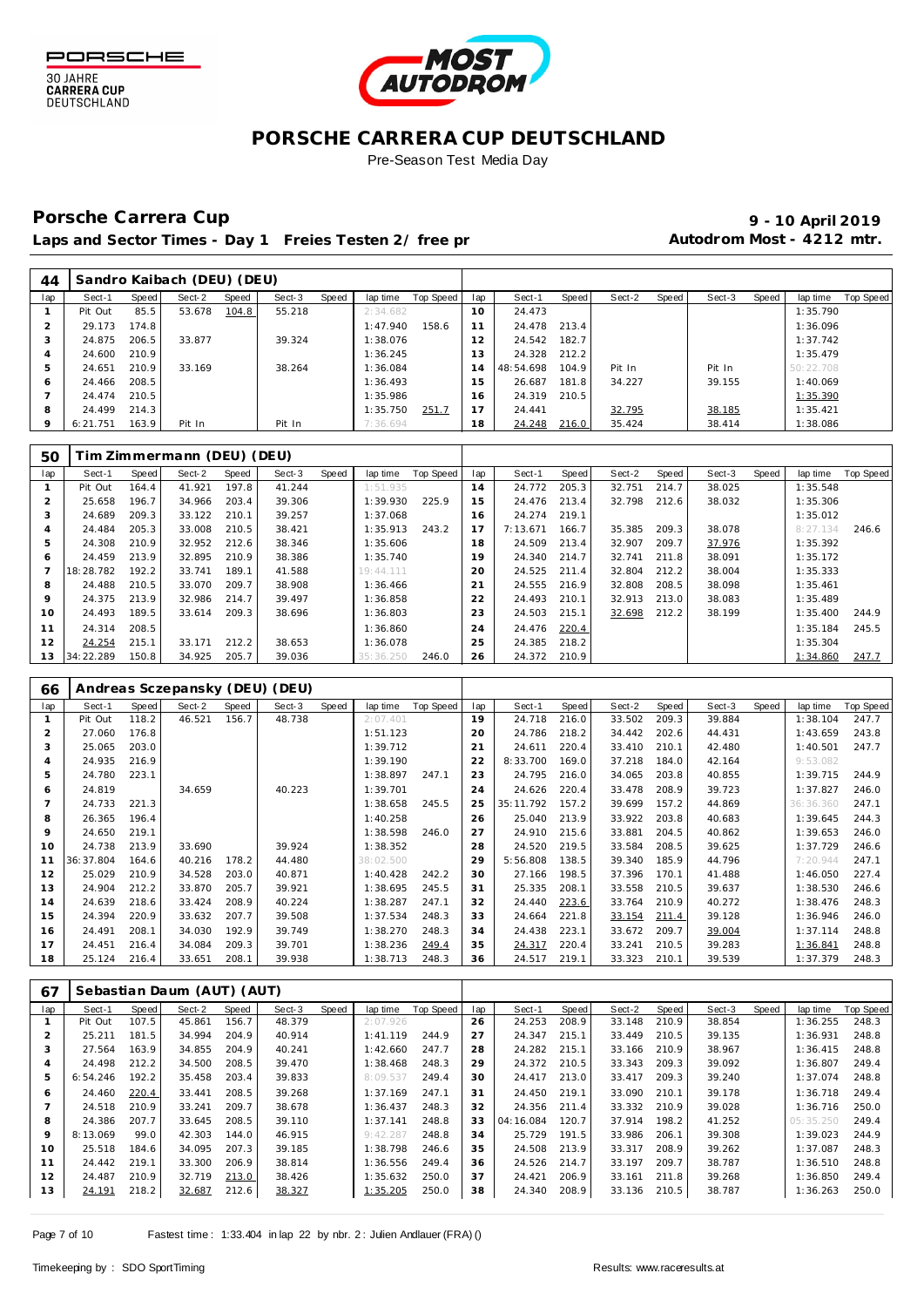



## **PORSCHE CARRERA CUP DEUTSCHLAND**

Pre-Season Test Media Day

## Porsche Carrera Cup **10 April 2019 9 - 10 April 2019**

Laps and Sector Times - Day 1 Freies Testen 2/ free practice 20 autodrom Most - 4212 mtr.

| 44  |          |       | Sandro Kaibach (DEU) (DEU) |       |        |       |          |           |     |           |       |        |       |        |       |           |                  |
|-----|----------|-------|----------------------------|-------|--------|-------|----------|-----------|-----|-----------|-------|--------|-------|--------|-------|-----------|------------------|
| lap | Sect-1   | Speed | Sect-2                     | Speed | Sect-3 | Speed | lap time | Top Speed | lap | Sect-1    | Speed | Sect-2 | Speed | Sect-3 | Speed | lap time  | <b>Top Speed</b> |
|     | Pit Out  | 85.5  | 53.678                     | 104.8 | 55.218 |       | 2:34.682 |           | 10  | 24.473    |       |        |       |        |       | 1:35.790  |                  |
|     | 29.173   | 174.8 |                            |       |        |       | 1:47.940 | 158.6     |     | 24.478    | 213.4 |        |       |        |       | 1:36.096  |                  |
|     | 24.875   | 206.5 | 33.877                     |       | 39.324 |       | 1:38.076 |           | 12  | 24.542    | 182.7 |        |       |        |       | 1:37.742  |                  |
| 4   | 24.600   | 210.9 |                            |       |        |       | 1:36.245 |           | 13  | 24.328    | 212.2 |        |       |        |       | 1:35.479  |                  |
| 5   | 24.651   | 210.9 | 33.169                     |       | 38.264 |       | 1:36.084 |           | 4   | 48:54.698 | 104.9 | Pit In |       | Pit In |       | 50:22.708 |                  |
| 6   | 24.466   | 208.5 |                            |       |        |       | 1:36.493 |           | 15  | 26.687    | 181.8 | 34.227 |       | 39.155 |       | 1:40.069  |                  |
|     | 24.474   | 210.5 |                            |       |        |       | 1:35.986 |           | 6   | 24.319    | 210.5 |        |       |        |       | 1:35.390  |                  |
| 8   | 24.499   | 214.3 |                            |       |        |       | 1:35.750 | 251.7     |     | 24.441    |       | 32.795 |       | 38.185 |       | 1:35.421  |                  |
| 9   | 6:21.751 | 163.9 | Pit In                     |       | Pit In |       | 7:36.694 |           | 18  | 24.248    | 216.0 | 35.424 |       | 38.414 |       | 1:38.086  |                  |

| 50           |           |       | Tim Zimmermann (DEU) (DEU) |       |        |       |           |           |             |          |       |        |       |        |       |          |           |
|--------------|-----------|-------|----------------------------|-------|--------|-------|-----------|-----------|-------------|----------|-------|--------|-------|--------|-------|----------|-----------|
| lap          | Sect-1    | Speed | Sect-2                     | Speed | Sect-3 | Speed | lap time  | Top Speed | lap         | Sect-1   | Speed | Sect-2 | Speed | Sect-3 | Speed | lap time | Top Speed |
|              | Pit Out   | 164.4 | 41.921                     | 197.8 | 41.244 |       | 1:51.935  |           | 14          | 24.772   | 205.3 | 32.751 | 214.7 | 38.025 |       | 1:35.548 |           |
|              | 25.658    | 196.7 | 34.966                     | 203.4 | 39.306 |       | 1:39.930  | 225.9     | 15          | 24.476   | 213.4 | 32.798 | 212.6 | 38.032 |       | 1:35.306 |           |
| -3           | 24.689    | 209.3 | 33.122                     | 210.1 | 39.257 |       | 1:37.068  |           | 16          | 24.274   | 219.1 |        |       |        |       | 1:35.012 |           |
|              | 24.484    | 205.3 | 33.008                     | 210.5 | 38.421 |       | 1:35.913  | 243.2     | 17          | 7:13.671 | 166.7 | 35.385 | 209.3 | 38.078 |       | 8:27.134 | 246.6     |
| 5            | 24.308    | 210.9 | 32.952                     | 212.6 | 38.346 |       | 1:35.606  |           | 18          | 24.509   | 213.4 | 32.907 | 209.7 | 37.976 |       | 1:35.392 |           |
| <sub>6</sub> | 24.459    | 213.9 | 32.895                     | 210.9 | 38.386 |       | 1:35.740  |           | 19          | 24.340   | 214.7 | 32.741 | 211.8 | 38.091 |       | 1:35.172 |           |
|              | 18:28.782 | 192.2 | 33.741                     | 189.1 | 41.588 |       | 19:44.111 |           | 20          | 24.525   | 211.4 | 32.804 | 212.2 | 38.004 |       | 1:35.333 |           |
| 8            | 24.488    | 210.5 | 33.070                     | 209.7 | 38.908 |       | 1:36.466  |           | $2^{\cdot}$ | 24.555   | 216.9 | 32.808 | 208.5 | 38.098 |       | 1:35.461 |           |
| 9            | 24.375    | 213.9 | 32.986                     | 214.7 | 39.497 |       | 1:36.858  |           | 22          | 24.493   | 210.1 | 32.913 | 213.0 | 38.083 |       | 1:35.489 |           |
| 10           | 24.493    | 189.5 | 33.614                     | 209.3 | 38.696 |       | 1:36.803  |           | 23          | 24.503   | 215.1 | 32.698 | 212.2 | 38.199 |       | 1:35.400 | 244.9     |
| 11           | 24.314    | 208.5 |                            |       |        |       | 1:36.860  |           | 24          | 24.476   | 220.4 |        |       |        |       | 1:35.184 | 245.5     |
| 12           | 24.254    | 215.1 | 33.171                     | 212.2 | 38.653 |       | 1:36.078  |           | 25          | 24.385   | 218.2 |        |       |        |       | 1:35.304 |           |
| 13           | 34:22.289 | 150.8 | 34.925                     | 205.7 | 39.036 |       | 35:36.250 | 246.0     | 26          | 24.372   | 210.9 |        |       |        |       | 1:34.860 | 247.7     |

| 66            |           |       |        |       | Andreas Sczepansky (DEU) (DEU) |       |           |           |             |           |       |        |       |        |       |           |           |
|---------------|-----------|-------|--------|-------|--------------------------------|-------|-----------|-----------|-------------|-----------|-------|--------|-------|--------|-------|-----------|-----------|
| lap           | Sect-1    | Speed | Sect-2 | Speed | Sect-3                         | Speed | lap time  | Top Speed | lap         | Sect-1    | Speed | Sect-2 | Speed | Sect-3 | Speed | lap time  | Top Speed |
|               | Pit Out   | 118.2 | 46.521 | 156.7 | 48.738                         |       | 2:07.401  |           | 19          | 24.718    | 216.0 | 33.502 | 209.3 | 39.884 |       | 1:38.104  | 247.7     |
| $\mathcal{P}$ | 27.060    | 176.8 |        |       |                                |       | 1:51.123  |           | 20          | 24.786    | 218.2 | 34.442 | 202.6 | 44.431 |       | 1:43.659  | 243.8     |
| 3             | 25.065    | 203.0 |        |       |                                |       | 1:39.712  |           | $2^{\cdot}$ | 24.611    | 220.4 | 33.410 | 210.1 | 42.480 |       | 1:40.501  | 247.7     |
| 4             | 24.935    | 216.9 |        |       |                                |       | 1:39.190  |           | 22          | 8:33.700  | 169.0 | 37.218 | 184.0 | 42.164 |       | 9:53.082  |           |
| 5             | 24.780    | 223.1 |        |       |                                |       | 1:38.897  | 247.1     | 23          | 24.795    | 216.0 | 34.065 | 203.8 | 40.855 |       | 1:39.715  | 244.9     |
| 6             | 24.819    |       | 34.659 |       | 40.223                         |       | 1:39.701  |           | 24          | 24.626    | 220.4 | 33.478 | 208.9 | 39.723 |       | 1:37.827  | 246.0     |
|               | 24.733    | 221.3 |        |       |                                |       | 1:38.658  | 245.5     | 25          | 35:11.792 | 157.2 | 39.699 | 157.2 | 44.869 |       | 36:36.360 | 247.1     |
| 8             | 26.365    | 196.4 |        |       |                                |       | 1:40.258  |           | 26          | 25.040    | 213.9 | 33.922 | 203.8 | 40.683 |       | 1:39.645  | 244.3     |
| $\circ$       | 24.650    | 219.1 |        |       |                                |       | 1:38.598  | 246.0     | 27          | 24.910    | 215.6 | 33.881 | 204.5 | 40.862 |       | 1:39.653  | 246.0     |
| 10            | 24.738    | 213.9 | 33.690 |       | 39.924                         |       | 1:38.352  |           | 28          | 24.520    | 219.5 | 33.584 | 208.5 | 39.625 |       | 1:37.729  | 246.6     |
| 11            | 36:37.804 | 164.6 | 40.216 | 178.2 | 44.480                         |       | 38:02.500 |           | 29          | 5:56.808  | 138.5 | 39.340 | 185.9 | 44.796 |       | 7:20.944  | 247.1     |
| 12            | 25.029    | 210.9 | 34.528 | 203.0 | 40.871                         |       | 1:40.428  | 242.2     | 30          | 27.166    | 198.5 | 37.396 | 170.1 | 41.488 |       | 1:46.050  | 227.4     |
| 13            | 24.904    | 212.2 | 33.870 | 205.7 | 39.921                         |       | 1:38.695  | 245.5     | 31          | 25.335    | 208.1 | 33.558 | 210.5 | 39.637 |       | 1:38.530  | 246.6     |
| 14            | 24.639    | 218.6 | 33.424 | 208.9 | 40.224                         |       | 1:38.287  | 247.1     | 32          | 24.440    | 223.6 | 33.764 | 210.9 | 40.272 |       | 1:38.476  | 248.3     |
| 15            | 24.394    | 220.9 | 33.632 | 207.7 | 39.508                         |       | 1:37.534  | 248.3     | 33          | 24.664    | 221.8 | 33.154 | 211.4 | 39.128 |       | 1:36.946  | 246.0     |
| 16            | 24.491    | 208.1 | 34.030 | 192.9 | 39.749                         |       | 1:38.270  | 248.3     | 34          | 24.438    | 223.1 | 33.672 | 209.7 | 39.004 |       | 1:37.114  | 248.8     |
| 17            | 24.451    | 216.4 | 34.084 | 209.3 | 39.701                         |       | 1:38.236  | 249.4     | 35          | 24.317    | 220.4 | 33.241 | 210.5 | 39.283 |       | 1:36.841  | 248.8     |
| 18            | 25.124    | 216.4 | 33.651 | 208.1 | 39.938                         |       | 1:38.713  | 248.3     | 36          | 24.517    | 219.1 | 33.323 | 210.1 | 39.539 |       | 1:37.379  | 248.3     |

| 67  |          |       | Sebastian Daum (AUT) (AUT) |       |        |       |          |                  |     |           |       |        |       |        |       |           |                  |
|-----|----------|-------|----------------------------|-------|--------|-------|----------|------------------|-----|-----------|-------|--------|-------|--------|-------|-----------|------------------|
| lap | Sect-1   | Speed | Sect-2                     | Speed | Sect-3 | Speed | lap time | <b>Top Speed</b> | lap | Sect-1    | Speed | Sect-2 | Speed | Sect-3 | Speed | lap time  | <b>Top Speed</b> |
|     | Pit Out  | 107.5 | 45.861                     | 156.7 | 48.379 |       | 2:07.926 |                  | 26  | 24.253    | 208.9 | 33.148 | 210.9 | 38.854 |       | 1:36.255  | 248.3            |
|     | 25.211   | 181.5 | 34.994                     | 204.9 | 40.914 |       | 1:41.119 | 244.9            | 27  | 24.347    | 215.1 | 33.449 | 210.5 | 39.135 |       | 1:36.931  | 248.8            |
| 3   | 27.564   | 163.9 | 34.855                     | 204.9 | 40.241 |       | 1:42.660 | 247.7            | 28  | 24.282    | 215.1 | 33.166 | 210.9 | 38.967 |       | 1:36.415  | 248.8            |
|     | 24.498   | 212.2 | 34.500                     | 208.5 | 39.470 |       | 1:38.468 | 248.3            | 29  | 24.372    | 210.5 | 33.343 | 209.3 | 39.092 |       | 1:36.807  | 249.4            |
| 5   | 6:54.246 | 192.2 | 35.458                     | 203.4 | 39.833 |       | 8:09.537 | 249.4            | 30  | 24.417    | 213.0 | 33.417 | 209.3 | 39.240 |       | 1:37.074  | 248.8            |
| 6   | 24.460   | 220.4 | 33.441                     | 208.5 | 39.268 |       | 1:37.169 | 247.1            | 31  | 24.450    | 219.1 | 33.090 | 210.1 | 39.178 |       | 1:36.718  | 249.4            |
|     | 24.518   | 210.9 | 33.241                     | 209.7 | 38.678 |       | 1:36.437 | 248.3            | 32  | 24.356    | 211.4 | 33.332 | 210.9 | 39.028 |       | 1:36.716  | 250.0            |
| 8   | 24.386   | 207.7 | 33.645                     | 208.5 | 39.110 |       | 1:37.141 | 248.8            | 33  | 04:16.084 | 120.7 | 37.914 | 198.2 | 41.252 |       | 05:35.250 | 249.4            |
| 9   | 8:13.069 | 99.0  | 42.303                     | 144.0 | 46.915 |       | 9:42.287 | 248.8            | 34  | 25.729    | 191.5 | 33.986 | 206.1 | 39.308 |       | 1:39.023  | 244.9            |
| 10  | 25.518   | 184.6 | 34.095                     | 207.3 | 39.185 |       | 1:38.798 | 246.6            | 35  | 24.508    | 213.9 | 33.317 | 208.9 | 39.262 |       | 1:37.087  | 248.3            |
| 11  | 24.442   | 219.1 | 33.300                     | 206.9 | 38.814 |       | 1:36.556 | 249.4            | 36  | 24.526    | 214.7 | 33.197 | 209.7 | 38.787 |       | 1:36.510  | 248.8            |
| 12  | 24.487   | 210.9 | 32.719                     | 213.0 | 38.426 |       | 1:35.632 | 250.0            | 37  | 24.421    | 206.9 | 33.161 | 211.8 | 39.268 |       | 1:36.850  | 249.4            |
| 13  | 24.191   | 218.2 | 32.687                     | 212.6 | 38.327 |       | 1:35.205 | 250.0            | 38  | 24.340    | 208.9 | 33.136 | 210.5 | 38.787 |       | 1:36.263  | 250.0            |
|     |          |       |                            |       |        |       |          |                  |     |           |       |        |       |        |       |           |                  |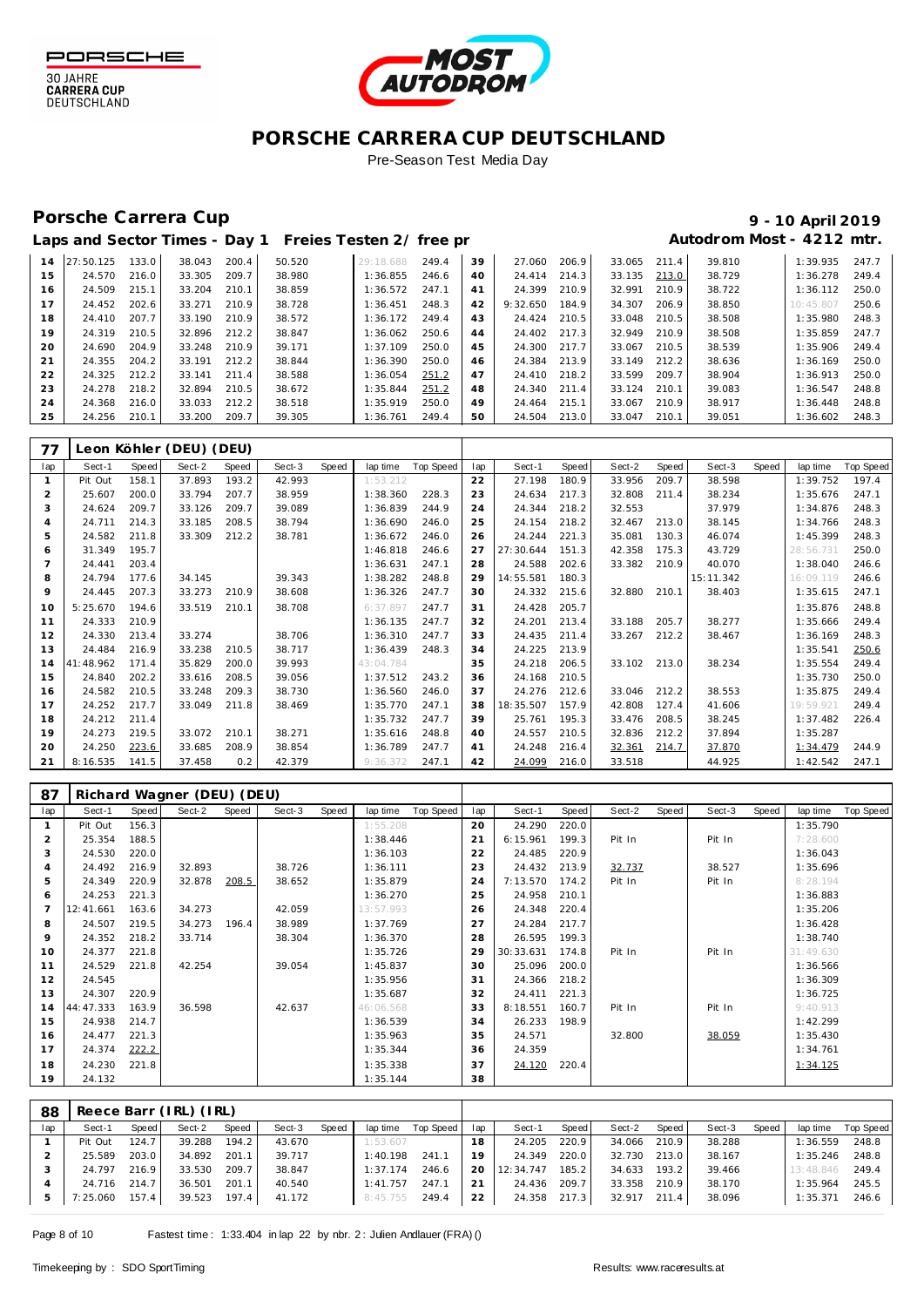



### **PORSCHE CARRERA CUP DEUTSCHLAND** Pre-Season Test Media Day

## Porsche Carrera Cup **10 April 2019 9 - 10 April 2019**

Г

# Laps and Sector Times - Day 1 Freies Testen 2/ free practice 20 and 2012 mtr.

| 38.043<br>39<br>39.810<br>27:50.125<br>133.0<br>200.4<br>50.520<br>249.4<br>27.060<br>206.9<br>33.065<br>1:39.935<br>29:18.688<br>211.4<br>14<br>38.729<br>15<br>33.305<br>209.7<br>38.980<br>1:36.855<br>33.135<br>24.570<br>216.0<br>24.414<br>214.3<br>213.0<br>1:36.278<br>246.6<br>40<br>33.204<br>24.399<br>32.991<br>38.722<br>24.509<br>215.1<br>210.1<br>38.859<br>1:36.572<br>247.1<br>210.9<br>210.9<br>16<br>41<br>1:36.112<br>17<br>24.452<br>33.271<br>38.850<br>202.6<br>210.9<br>38.728<br>248.3<br>9:32.650<br>184.9<br>34.307<br>206.9<br>1:36.451<br>42<br>10:45.807<br>18<br>207.7<br>33.190<br>210.9<br>210.5<br>33.048<br>38.508<br>1:35.980<br>24.410<br>38.572<br>1:36.172<br>249.4<br>43<br>24.424<br>210.5<br>19<br>210.5<br>212.2<br>217.3<br>32.949<br>38.508<br>1:35.859<br>24.319<br>32.896<br>38.847<br>1:36.062<br>250.6<br>24.402<br>210.9<br>44<br>20<br>33.248<br>24.690<br>204.9<br>210.9<br>39.171<br>1:37.109<br>250.0<br>217.7<br>33.067<br>38.539<br>1:35.906<br>24.300<br>210.5<br>45<br>21<br>204.2<br>33.191<br>212.2<br>1:36.390<br>250.0<br>24.384<br>213.9<br>212.2<br>38.636<br>24.355<br>38.844<br>33.149<br>1:36.169<br>46 | 247.7<br>249.4 |
|-----------------------------------------------------------------------------------------------------------------------------------------------------------------------------------------------------------------------------------------------------------------------------------------------------------------------------------------------------------------------------------------------------------------------------------------------------------------------------------------------------------------------------------------------------------------------------------------------------------------------------------------------------------------------------------------------------------------------------------------------------------------------------------------------------------------------------------------------------------------------------------------------------------------------------------------------------------------------------------------------------------------------------------------------------------------------------------------------------------------------------------------------------------------------------|----------------|
|                                                                                                                                                                                                                                                                                                                                                                                                                                                                                                                                                                                                                                                                                                                                                                                                                                                                                                                                                                                                                                                                                                                                                                             |                |
|                                                                                                                                                                                                                                                                                                                                                                                                                                                                                                                                                                                                                                                                                                                                                                                                                                                                                                                                                                                                                                                                                                                                                                             |                |
|                                                                                                                                                                                                                                                                                                                                                                                                                                                                                                                                                                                                                                                                                                                                                                                                                                                                                                                                                                                                                                                                                                                                                                             | 250.0          |
|                                                                                                                                                                                                                                                                                                                                                                                                                                                                                                                                                                                                                                                                                                                                                                                                                                                                                                                                                                                                                                                                                                                                                                             | 250.6          |
|                                                                                                                                                                                                                                                                                                                                                                                                                                                                                                                                                                                                                                                                                                                                                                                                                                                                                                                                                                                                                                                                                                                                                                             | 248.3          |
|                                                                                                                                                                                                                                                                                                                                                                                                                                                                                                                                                                                                                                                                                                                                                                                                                                                                                                                                                                                                                                                                                                                                                                             | 247.7          |
|                                                                                                                                                                                                                                                                                                                                                                                                                                                                                                                                                                                                                                                                                                                                                                                                                                                                                                                                                                                                                                                                                                                                                                             | 249.4          |
|                                                                                                                                                                                                                                                                                                                                                                                                                                                                                                                                                                                                                                                                                                                                                                                                                                                                                                                                                                                                                                                                                                                                                                             | 250.0          |
| 22<br>212.2<br>218.2<br>33.599<br>24.325<br>33.141<br>211.4<br>38.588<br>1:36.054<br>251.2<br>24.410<br>209.7<br>38.904<br>1:36.913<br>47                                                                                                                                                                                                                                                                                                                                                                                                                                                                                                                                                                                                                                                                                                                                                                                                                                                                                                                                                                                                                                   | 250.0          |
| 23<br>32.894<br>33.124<br>24.278<br>218.2<br>210.5<br>38.672<br>1:35.844<br>24.340<br>211.4<br>39.083<br>251.2<br>210.1<br>1:36.547<br>48                                                                                                                                                                                                                                                                                                                                                                                                                                                                                                                                                                                                                                                                                                                                                                                                                                                                                                                                                                                                                                   | 248.8          |
| 24<br>33.033<br>212.2<br>1:35.919<br>215.1<br>33.067<br>38.917<br>24.368<br>216.0<br>38.518<br>250.0<br>24.464<br>210.9<br>1:36.448<br>49                                                                                                                                                                                                                                                                                                                                                                                                                                                                                                                                                                                                                                                                                                                                                                                                                                                                                                                                                                                                                                   | 248.8          |
| 25<br>209.7<br>33.200<br>1:36.761<br>213.0<br>24.256<br>210.1<br>39.305<br>249.4<br>50<br>24.504<br>33.047<br>210.1<br>39.051<br>1:36.602                                                                                                                                                                                                                                                                                                                                                                                                                                                                                                                                                                                                                                                                                                                                                                                                                                                                                                                                                                                                                                   | 248.3          |

| 77             |           |       | Leon Köhler (DEU) (DEU) |       |        |       |           |           |     |           |       |        |       |           |       |           |           |
|----------------|-----------|-------|-------------------------|-------|--------|-------|-----------|-----------|-----|-----------|-------|--------|-------|-----------|-------|-----------|-----------|
| lap            | Sect-1    | Speed | Sect-2                  | Speed | Sect-3 | Speed | lap time  | Top Speed | lap | Sect-1    | Speed | Sect-2 | Speed | Sect-3    | Speed | lap time  | Top Speed |
| -1             | Pit Out   | 158.1 | 37.893                  | 193.2 | 42.993 |       | 1:53.212  |           | 22  | 27.198    | 180.9 | 33.956 | 209.7 | 38.598    |       | 1:39.752  | 197.4     |
| $\overline{2}$ | 25.607    | 200.0 | 33.794                  | 207.7 | 38.959 |       | 1:38.360  | 228.3     | 23  | 24.634    | 217.3 | 32.808 | 211.4 | 38.234    |       | 1:35.676  | 247.1     |
| 3              | 24.624    | 209.7 | 33.126                  | 209.7 | 39.089 |       | 1:36.839  | 244.9     | 24  | 24.344    | 218.2 | 32.553 |       | 37.979    |       | 1:34.876  | 248.3     |
| $\overline{A}$ | 24.711    | 214.3 | 33.185                  | 208.5 | 38.794 |       | 1:36.690  | 246.0     | 25  | 24.154    | 218.2 | 32.467 | 213.0 | 38.145    |       | 1:34.766  | 248.3     |
| 5              | 24.582    | 211.8 | 33.309                  | 212.2 | 38.781 |       | 1:36.672  | 246.0     | 26  | 24.244    | 221.3 | 35.081 | 130.3 | 46.074    |       | 1:45.399  | 248.3     |
| 6              | 31.349    | 195.7 |                         |       |        |       | 1:46.818  | 246.6     | 27  | 27:30.644 | 151.3 | 42.358 | 175.3 | 43.729    |       | 28:56.731 | 250.0     |
|                | 24.441    | 203.4 |                         |       |        |       | 1:36.631  | 247.1     | 28  | 24.588    | 202.6 | 33.382 | 210.9 | 40.070    |       | 1:38.040  | 246.6     |
| 8              | 24.794    | 177.6 | 34.145                  |       | 39.343 |       | 1:38.282  | 248.8     | 29  | 14:55.581 | 180.3 |        |       | 15:11.342 |       | 16:09.119 | 246.6     |
| $\circ$        | 24.445    | 207.3 | 33.273                  | 210.9 | 38.608 |       | 1:36.326  | 247.7     | 30  | 24.332    | 215.6 | 32.880 | 210.1 | 38.403    |       | 1:35.615  | 247.1     |
| 10             | 5:25.670  | 194.6 | 33.519                  | 210.1 | 38.708 |       | 6:37.897  | 247.7     | 31  | 24.428    | 205.7 |        |       |           |       | 1:35.876  | 248.8     |
| 11             | 24.333    | 210.9 |                         |       |        |       | 1:36.135  | 247.7     | 32  | 24.201    | 213.4 | 33.188 | 205.7 | 38.277    |       | 1:35.666  | 249.4     |
| 12             | 24.330    | 213.4 | 33.274                  |       | 38.706 |       | 1:36.310  | 247.7     | 33  | 24.435    | 211.4 | 33.267 | 212.2 | 38.467    |       | 1:36.169  | 248.3     |
| 13             | 24.484    | 216.9 | 33.238                  | 210.5 | 38.717 |       | 1:36.439  | 248.3     | 34  | 24.225    | 213.9 |        |       |           |       | 1:35.541  | 250.6     |
| 14             | 41:48.962 | 171.4 | 35.829                  | 200.0 | 39.993 |       | 43:04.784 |           | 35  | 24.218    | 206.5 | 33.102 | 213.0 | 38.234    |       | 1:35.554  | 249.4     |
| 15             | 24.840    | 202.2 | 33.616                  | 208.5 | 39.056 |       | 1:37.512  | 243.2     | 36  | 24.168    | 210.5 |        |       |           |       | 1:35.730  | 250.0     |
| 16             | 24.582    | 210.5 | 33.248                  | 209.3 | 38.730 |       | 1:36.560  | 246.0     | 37  | 24.276    | 212.6 | 33.046 | 212.2 | 38.553    |       | 1:35.875  | 249.4     |
| 17             | 24.252    | 217.7 | 33.049                  | 211.8 | 38.469 |       | 1:35.770  | 247.1     | 38  | 18:35.507 | 157.9 | 42.808 | 127.4 | 41.606    |       | 19:59.921 | 249.4     |
| 18             | 24.212    | 211.4 |                         |       |        |       | 1:35.732  | 247.7     | 39  | 25.761    | 195.3 | 33.476 | 208.5 | 38.245    |       | 1:37.482  | 226.4     |
| 19             | 24.273    | 219.5 | 33.072                  | 210.1 | 38.271 |       | 1:35.616  | 248.8     | 40  | 24.557    | 210.5 | 32.836 | 212.2 | 37.894    |       | 1:35.287  |           |
| 20             | 24.250    | 223.6 | 33.685                  | 208.9 | 38.854 |       | 1:36.789  | 247.7     | 41  | 24.248    | 216.4 | 32.361 | 214.7 | 37.870    |       | 1:34.479  | 244.9     |
| 21             | 8:16.535  | 141.5 | 37.458                  | 0.2   | 42.379 |       | 9:36.372  | 247.1     | 42  | 24.099    | 216.0 | 33.518 |       | 44.925    |       | 1:42.542  | 247.1     |

| 87             |           |       | Richard Wagner (DEU) (DEU) |       |        |       |           |           |             |           |       |        |       |        |       |           |           |
|----------------|-----------|-------|----------------------------|-------|--------|-------|-----------|-----------|-------------|-----------|-------|--------|-------|--------|-------|-----------|-----------|
| lap            | Sect-1    | Speed | Sect-2                     | Speed | Sect-3 | Speed | lap time  | Top Speed | lap         | Sect-1    | Speed | Sect-2 | Speed | Sect-3 | Speed | lap time  | Top Speed |
|                | Pit Out   | 156.3 |                            |       |        |       | 1:55.208  |           | 20          | 24.290    | 220.0 |        |       |        |       | 1:35.790  |           |
| $\overline{2}$ | 25.354    | 188.5 |                            |       |        |       | 1:38.446  |           | $2^{\circ}$ | 6:15.961  | 199.3 | Pit In |       | Pit In |       | 7:28.600  |           |
| 3              | 24.530    | 220.0 |                            |       |        |       | 1:36.103  |           | 22          | 24.485    | 220.9 |        |       |        |       | 1:36.043  |           |
| 4              | 24.492    | 216.9 | 32.893                     |       | 38.726 |       | 1:36.111  |           | 23          | 24.432    | 213.9 | 32.737 |       | 38.527 |       | 1:35.696  |           |
| 5              | 24.349    | 220.9 | 32.878                     | 208.5 | 38.652 |       | 1:35.879  |           | 24          | 7:13.570  | 174.2 | Pit In |       | Pit In |       | 8:28.194  |           |
| 6              | 24.253    | 221.3 |                            |       |        |       | 1:36.270  |           | 25          | 24.958    | 210.1 |        |       |        |       | 1:36.883  |           |
|                | 12:41.661 | 163.6 | 34.273                     |       | 42.059 |       | 13:57.993 |           | 26          | 24.348    | 220.4 |        |       |        |       | 1:35.206  |           |
| 8              | 24.507    | 219.5 | 34.273                     | 196.4 | 38.989 |       | 1:37.769  |           | 27          | 24.284    | 217.7 |        |       |        |       | 1:36.428  |           |
| 9              | 24.352    | 218.2 | 33.714                     |       | 38.304 |       | 1:36.370  |           | 28          | 26.595    | 199.3 |        |       |        |       | 1:38.740  |           |
| 10             | 24.377    | 221.8 |                            |       |        |       | 1:35.726  |           | 29          | 30:33.631 | 174.8 | Pit In |       | Pit In |       | 31:49.630 |           |
| 11             | 24.529    | 221.8 | 42.254                     |       | 39.054 |       | 1:45.837  |           | 30          | 25.096    | 200.0 |        |       |        |       | 1:36.566  |           |
| 12             | 24.545    |       |                            |       |        |       | 1:35.956  |           | 31          | 24.366    | 218.2 |        |       |        |       | 1:36.309  |           |
| 13             | 24.307    | 220.9 |                            |       |        |       | 1:35.687  |           | 32          | 24.411    | 221.3 |        |       |        |       | 1:36.725  |           |
| 14             | 44:47.333 | 163.9 | 36.598                     |       | 42.637 |       | 46:06.568 |           | 33          | 8:18.551  | 160.7 | Pit In |       | Pit In |       | 9:40.913  |           |
| 15             | 24.938    | 214.7 |                            |       |        |       | 1:36.539  |           | 34          | 26.233    | 198.9 |        |       |        |       | 1:42.299  |           |
| 16             | 24.477    | 221.3 |                            |       |        |       | 1:35.963  |           | 35          | 24.571    |       | 32.800 |       | 38.059 |       | 1:35.430  |           |
| 17             | 24.374    | 222.2 |                            |       |        |       | 1:35.344  |           | 36          | 24.359    |       |        |       |        |       | 1:34.761  |           |
| 18             | 24.230    | 221.8 |                            |       |        |       | 1:35.338  |           | 37          | 24.120    | 220.4 |        |       |        |       | 1:34.125  |           |
| 19             | 24.132    |       |                            |       |        |       | 1:35.144  |           | 38          |           |       |        |       |        |       |           |           |

| 88  |                |       | Reece Barr (IRL) (IRL) |       |        |       |                |           |      |              |       |              |       |        |       |           |           |
|-----|----------------|-------|------------------------|-------|--------|-------|----------------|-----------|------|--------------|-------|--------------|-------|--------|-------|-----------|-----------|
| lap | Sect-1         | Speed | Sect-2                 | Speed | Sect-3 | Speed | lap time       | Top Speed | lap  | Sect-1       | Speed | Sect-2       | Speed | Sect-3 | Speed | lap time  | Top Speed |
|     | Pit Out        | 124.7 | 39.288                 | 194.2 | 43.670 |       | 1:53.607       |           | 18   | 24.205       | 220.9 | 34.066 210.9 |       | 38.288 |       | 1:36.559  | 248.8     |
|     | 25.589         | 203.0 | 34.892                 | 201.1 | 39.717 |       | 1:40.198       | 241.1     | 19   | 24.349       | 220.0 | 32.730 213.0 |       | 38.167 |       | 1:35.246  | 248.8     |
|     | 24.797         | 216.9 | 33.530                 | 209.7 | 38.847 |       | 1:37.174       | 246.6     | -20  | 12:34.747    | 185.2 | 34.633 193.2 |       | 39.466 |       | 13:48.846 | 249.4     |
|     | 24.716 214.7   |       | 36.501                 | 201.1 | 40.540 |       | 1:41.757       | 247.1     | 21 l | 24.436       | 209.7 | 33.358 210.9 |       | 38.170 |       | 1:35.964  | 245.5     |
|     | 7:25.060 157.4 |       | 39.523                 | 197.4 | 41.172 |       | 8:45.755 249.4 |           | 22   | 24.358 217.3 |       | 32.917 211.4 |       | 38.096 |       | 1:35.371  | 246.6     |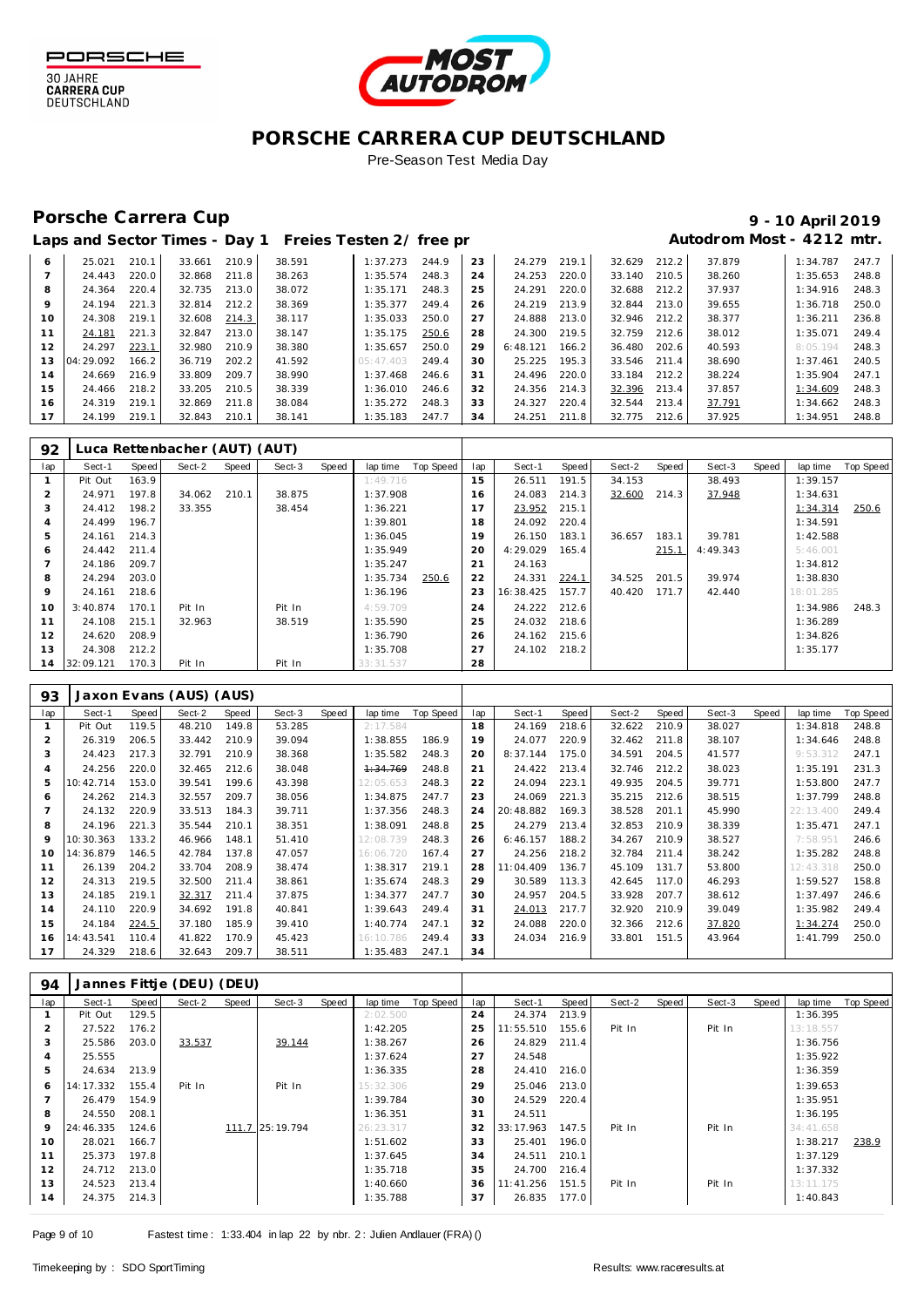

30 JAHRE<br>CARRERA CUP<br>DEUTSCHLAND



## **PORSCHE CARRERA CUP DEUTSCHLAND**

Pre-Season Test Media Day

## Porsche Carrera Cup **10 April 2019 9 - 10 April 2019**

# Laps and Sector Times - Day 1 Freies Testen 2/ free practice 2 **Autodrom Most - 4212 mtr.**

|         | Lups and sociol innos |       |        |       |        | . 0.00 00. . 0. 00 p. |       |    |          |       |              |       |        |          |       |
|---------|-----------------------|-------|--------|-------|--------|-----------------------|-------|----|----------|-------|--------------|-------|--------|----------|-------|
| 6       | 25.021                | 210.1 | 33.661 | 210.9 | 38.591 | 1:37.273              | 244.9 | 23 | 24.279   | 219.1 | 32.629       | 212.2 | 37.879 | 1:34.787 | 247.7 |
|         | 24.443                | 220.0 | 32.868 | 211.8 | 38.263 | 1:35.574              | 248.3 | 24 | 24.253   | 220.0 | 33.140       | 210.5 | 38.260 | 1:35.653 | 248.8 |
| 8       | 24.364                | 220.4 | 32.735 | 213.0 | 38.072 | 1:35.171              | 248.3 | 25 | 24.291   | 220.0 | 32.688       | 212.2 | 37.937 | 1:34.916 | 248.3 |
| $\circ$ | 24.194                | 221.3 | 32.814 | 212.2 | 38.369 | 1:35.377              | 249.4 | 26 | 24.219   | 213.9 | 32.844       | 213.0 | 39.655 | 1:36.718 | 250.0 |
| 10      | 24.308                | 219.1 | 32.608 | 214.3 | 38.117 | 1:35.033              | 250.0 | 27 | 24.888   | 213.0 | 32.946       | 212.2 | 38.377 | 1:36.211 | 236.8 |
| 11      | 24.181                | 221.3 | 32.847 | 213.0 | 38.147 | 1:35.175              | 250.6 | 28 | 24.300   | 219.5 | 32.759       | 212.6 | 38.012 | 1:35.071 | 249.4 |
| 12      | 24.297                | 223.1 | 32.980 | 210.9 | 38.380 | 1:35.657              | 250.0 | 29 | 6:48.121 | 166.2 | 36.480       | 202.6 | 40.593 | 8:05.194 | 248.3 |
| 13      | 04:29.092             | 166.2 | 36.719 | 202.2 | 41.592 | 05:47.403             | 249.4 | 30 | 25.225   | 195.3 | 33.546       | 211.4 | 38.690 | 1:37.461 | 240.5 |
| 14      | 24.669                | 216.9 | 33.809 | 209.7 | 38.990 | 1:37.468              | 246.6 | 31 | 24.496   | 220.0 | 33.184       | 212.2 | 38.224 | 1:35.904 | 247.1 |
| 15      | 24.466                | 218.2 | 33.205 | 210.5 | 38.339 | 1:36.010              | 246.6 | 32 | 24.356   | 214.3 | 32.396       | 213.4 | 37.857 | 1:34.609 | 248.3 |
| 16      | 24.319                | 219.1 | 32.869 | 211.8 | 38.084 | 1:35.272              | 248.3 | 33 | 24.327   | 220.4 | 32.544       | 213.4 | 37.791 | 1:34.662 | 248.3 |
| 17      | 24.199                | 219.1 | 32.843 | 210.1 | 38.141 | 1:35.183              | 247.7 | 34 | 24.251   | 211.8 | 32.775 212.6 |       | 37.925 | 1:34.951 | 248.8 |
|         |                       |       |        |       |        |                       |       |    |          |       |              |       |        |          |       |

| 92             |           |       | Luca Rettenbacher (AUT) (AUT) |       |        |       |           |           |     |           |       |        |       |          |       |           |                  |
|----------------|-----------|-------|-------------------------------|-------|--------|-------|-----------|-----------|-----|-----------|-------|--------|-------|----------|-------|-----------|------------------|
| lap            | Sect-1    | Speed | Sect-2                        | Speed | Sect-3 | Speed | lap time  | Top Speed | lap | Sect-1    | Speed | Sect-2 | Speed | Sect-3   | Speed | lap time  | <b>Top Speed</b> |
|                | Pit Out   | 163.9 |                               |       |        |       | 1:49.716  |           | 15  | 26.511    | 191.5 | 34.153 |       | 38.493   |       | 1:39.157  |                  |
| $\overline{2}$ | 24.971    | 197.8 | 34.062                        | 210.1 | 38.875 |       | 1:37.908  |           | 16  | 24.083    | 214.3 | 32.600 | 214.3 | 37.948   |       | 1:34.631  |                  |
| 3              | 24.412    | 198.2 | 33.355                        |       | 38.454 |       | 1:36.221  |           |     | 23.952    | 215.1 |        |       |          |       | 1:34.314  | 250.6            |
| 4              | 24.499    | 196.7 |                               |       |        |       | 1:39.801  |           | 18  | 24.092    | 220.4 |        |       |          |       | 1:34.591  |                  |
| 5              | 24.161    | 214.3 |                               |       |        |       | 1:36.045  |           | 19  | 26.150    | 183.1 | 36.657 | 183.1 | 39.781   |       | 1:42.588  |                  |
| 6              | 24.442    | 211.4 |                               |       |        |       | 1:35.949  |           | 20  | 4:29.029  | 165.4 |        | 215.1 | 4:49.343 |       | 5:46.001  |                  |
|                | 24.186    | 209.7 |                               |       |        |       | 1:35.247  |           | 21  | 24.163    |       |        |       |          |       | 1:34.812  |                  |
| 8              | 24.294    | 203.0 |                               |       |        |       | 1:35.734  | 250.6     | 22  | 24.331    | 224.1 | 34.525 | 201.5 | 39.974   |       | 1:38.830  |                  |
| 9              | 24.161    | 218.6 |                               |       |        |       | 1:36.196  |           | 23  | 16:38.425 | 157.7 | 40.420 | 171.7 | 42.440   |       | 18:01.285 |                  |
| 10             | 3:40.874  | 170.1 | Pit In                        |       | Pit In |       | 4:59.709  |           | 24  | 24.222    | 212.6 |        |       |          |       | 1:34.986  | 248.3            |
| 11             | 24.108    | 215.1 | 32.963                        |       | 38.519 |       | 1:35.590  |           | 25  | 24.032    | 218.6 |        |       |          |       | 1:36.289  |                  |
| 12             | 24.620    | 208.9 |                               |       |        |       | 1:36.790  |           | 26  | 24.162    | 215.6 |        |       |          |       | 1:34.826  |                  |
| 13             | 24.308    | 212.2 |                               |       |        |       | 1:35.708  |           | 27  | 24.102    | 218.2 |        |       |          |       | 1:35.177  |                  |
| 14             | 32:09.121 | 170.3 | Pit In                        |       | Pit In |       | 33:31.537 |           | 28  |           |       |        |       |          |       |           |                  |

| 93  | Jaxon Evans (AUS) (AUS) |       |        |       |        |       |           |           |     |           |       |        |       |        |       |           |                  |
|-----|-------------------------|-------|--------|-------|--------|-------|-----------|-----------|-----|-----------|-------|--------|-------|--------|-------|-----------|------------------|
| lap | Sect-1                  | Speed | Sect-2 | Speed | Sect-3 | Speed | lap time  | Top Speed | lap | Sect-1    | Speed | Sect-2 | Speed | Sect-3 | Speed | lap time  | <b>Top Speed</b> |
|     | Pit Out                 | 119.5 | 48.210 | 149.8 | 53.285 |       | 2:17.584  |           | 18  | 24.169    | 218.6 | 32.622 | 210.9 | 38.027 |       | 1:34.818  | 248.8            |
|     | 26.319                  | 206.5 | 33.442 | 210.9 | 39.094 |       | 1:38.855  | 186.9     | 19  | 24.077    | 220.9 | 32.462 | 211.8 | 38.107 |       | 1:34.646  | 248.8            |
| 3   | 24.423                  | 217.3 | 32.791 | 210.9 | 38.368 |       | 1:35.582  | 248.3     | 20  | 8:37.144  | 175.0 | 34.591 | 204.5 | 41.577 |       | 9:53.312  | 247.1            |
| 4   | 24.256                  | 220.0 | 32.465 | 212.6 | 38.048 |       | 1:34.769  | 248.8     | 21  | 24.422    | 213.4 | 32.746 | 212.2 | 38.023 |       | 1:35.191  | 231.3            |
| 5   | 10:42.714               | 153.0 | 39.541 | 199.6 | 43.398 |       | 12:05.653 | 248.3     | 22  | 24.094    | 223.1 | 49.935 | 204.5 | 39.771 |       | 1:53.800  | 247.7            |
| 6   | 24.262                  | 214.3 | 32.557 | 209.7 | 38.056 |       | 1:34.875  | 247.7     | 23  | 24.069    | 221.3 | 35.215 | 212.6 | 38.515 |       | 1:37.799  | 248.8            |
|     | 24.132                  | 220.9 | 33.513 | 184.3 | 39.711 |       | 1:37.356  | 248.3     | 24  | 20:48.882 | 169.3 | 38.528 | 201.1 | 45.990 |       | 22:13.400 | 249.4            |
| 8   | 24.196                  | 221.3 | 35.544 | 210.1 | 38.351 |       | 1:38.091  | 248.8     | 25  | 24.279    | 213.4 | 32.853 | 210.9 | 38.339 |       | 1:35.471  | 247.1            |
| 9   | 10:30.363               | 133.2 | 46.966 | 148.1 | 51.410 |       | 12:08.739 | 248.3     | 26  | 6:46.157  | 188.2 | 34.267 | 210.9 | 38.527 |       | 7:58.951  | 246.6            |
| 10  | 14:36.879               | 146.5 | 42.784 | 137.8 | 47.057 |       | 16:06.720 | 167.4     | 27  | 24.256    | 218.2 | 32.784 | 211.4 | 38.242 |       | 1:35.282  | 248.8            |
| 11  | 26.139                  | 204.2 | 33.704 | 208.9 | 38.474 |       | 1:38.317  | 219.1     | 28  | 1:04.409  | 136.7 | 45.109 | 131.7 | 53.800 |       | 12:43.318 | 250.0            |
| 12  | 24.313                  | 219.5 | 32.500 | 211.4 | 38.861 |       | 1:35.674  | 248.3     | 29  | 30.589    | 113.3 | 42.645 | 117.0 | 46.293 |       | 1:59.527  | 158.8            |
| 13  | 24.185                  | 219.1 | 32.317 | 211.4 | 37.875 |       | 1:34.377  | 247.7     | 30  | 24.957    | 204.5 | 33.928 | 207.7 | 38.612 |       | 1:37.497  | 246.6            |
| 14  | 24.110                  | 220.9 | 34.692 | 191.8 | 40.841 |       | 1:39.643  | 249.4     | 31  | 24.013    | 217.7 | 32.920 | 210.9 | 39.049 |       | 1:35.982  | 249.4            |
| 15  | 24.184                  | 224.5 | 37.180 | 185.9 | 39.410 |       | 1:40.774  | 247.1     | 32  | 24.088    | 220.0 | 32.366 | 212.6 | 37.820 |       | 1:34.274  | 250.0            |
| 16  | 14:43.541               | 110.4 | 41.822 | 170.9 | 45.423 |       | 16:10.786 | 249.4     | 33  | 24.034    | 216.9 | 33.801 | 151.5 | 43.964 |       | 1:41.799  | 250.0            |
| 17  | 24.329                  | 218.6 | 32.643 | 209.7 | 38.511 |       | 1:35.483  | 247.1     | 34  |           |       |        |       |        |       |           |                  |

| 94             | Jannes Fittje (DEU) (DEU) |       |        |       |                 |       |           |           |     |           |       |        |       |        |       |           |           |
|----------------|---------------------------|-------|--------|-------|-----------------|-------|-----------|-----------|-----|-----------|-------|--------|-------|--------|-------|-----------|-----------|
| lap            | Sect-1                    | Speed | Sect-2 | Speed | Sect-3          | Speed | lap time  | Top Speed | lap | Sect-1    | Speed | Sect-2 | Speed | Sect-3 | Speed | lap time  | Top Speed |
|                | Pit Out                   | 129.5 |        |       |                 |       | 2:02.500  |           | 24  | 24.374    | 213.9 |        |       |        |       | 1:36.395  |           |
| $\overline{2}$ | 27.522                    | 176.2 |        |       |                 |       | 1:42.205  |           | 25  | 11:55.510 | 155.6 | Pit In |       | Pit In |       | 13:18.557 |           |
| 3              | 25.586                    | 203.0 | 33.537 |       | 39.144          |       | 1:38.267  |           | 26  | 24.829    | 211.4 |        |       |        |       | 1:36.756  |           |
| $\overline{4}$ | 25.555                    |       |        |       |                 |       | 1:37.624  |           | 27  | 24.548    |       |        |       |        |       | 1:35.922  |           |
| 5              | 24.634                    | 213.9 |        |       |                 |       | 1:36.335  |           | 28  | 24.410    | 216.0 |        |       |        |       | 1:36.359  |           |
| 6              | 14:17.332                 | 155.4 | Pit In |       | Pit In          |       | 15:32.306 |           | 29  | 25.046    | 213.0 |        |       |        |       | 1:39.653  |           |
|                | 26.479                    | 154.9 |        |       |                 |       | 1:39.784  |           | 30  | 24.529    | 220.4 |        |       |        |       | 1:35.951  |           |
| 8              | 24.550                    | 208.1 |        |       |                 |       | 1:36.351  |           | 31  | 24.511    |       |        |       |        |       | 1:36.195  |           |
| 9              | 24:46.335                 | 124.6 |        |       | 111.7 25:19.794 |       | 26:23.317 |           | 32  | 33:17.963 | 147.5 | Pit In |       | Pit In |       | 34:41.658 |           |
| 10             | 28.021                    | 166.7 |        |       |                 |       | 1:51.602  |           | 33  | 25.401    | 196.0 |        |       |        |       | 1:38.217  | 238.9     |
| 11             | 25.373                    | 197.8 |        |       |                 |       | 1:37.645  |           | 34  | 24.511    | 210.1 |        |       |        |       | 1:37.129  |           |
| 12             | 24.712                    | 213.0 |        |       |                 |       | 1:35.718  |           | 35  | 24.700    | 216.4 |        |       |        |       | 1:37.332  |           |
| 13             | 24.523                    | 213.4 |        |       |                 |       | 1:40.660  |           | 36  | 11:41.256 | 151.5 | Pit In |       | Pit In |       | 13:11.175 |           |
| 14             | 24.375                    | 214.3 |        |       |                 |       | 1:35.788  |           | 37  | 26.835    | 177.0 |        |       |        |       | 1:40.843  |           |